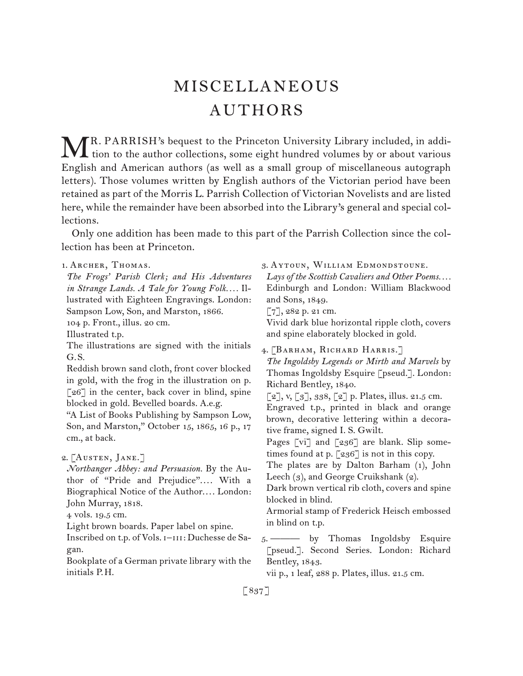# MISCELLANEOUS AUTHORS

R. PARRISH's bequest to the Princeton University Library included, in addi-MR. PARRISH's bequest to the Princeton University Library included, in addition to the author collections, some eight hundred volumes by or about various English and American authors (as well as a small group of miscellaneous autograph letters). Those volumes written by English authors of the Victorian period have been retained as part of the Morris L. Parrish Collection of Victorian Novelists and are listed here, while the remainder have been absorbed into the Library's general and special collections.

Only one addition has been made to this part of the Parrish Collection since the collection has been at Princeton.

1.  Archer, Thomas. *The Frogs' Parish Clerk; and His Adventures in Strange Lands. A Tale for Young Folk. . . .* Illustrated with Eighteen Engravings. London: Sampson Low, Son, and Marston, 1866. 104 p. Front., illus. 20 cm. Illustrated t.p. The illustrations are signed with the initials G. S. Reddish brown sand cloth, front cover blocked in gold, with the frog in the illustration on p. [26] in the center, back cover in blind, spine blocked in gold. Bevelled boards. A.e.g. "A List of Books Publishing by Sampson Low, Son, and Marston," October 15, 1865, 16 p., 17 cm., at back. 2.  [Austen, Jane.] *Northanger Abbey: and Persuasion.* By the Author of "Pride and Prejudice".... With a Biographical Notice of the Author.... London: John Murray, 1818. 4 vols. 19.5 cm. Light brown boards. Paper label on spine. Inscribed on t.p. of Vols. I-III: Duchesse de Sagan. Bookplate of a German private library with the initials P. H. 3.  Aytoun, William Edmondstoune. *Lays of the Scottish Cavaliers and Other Poems. . . .* Edinburgh and London: William Blackwood and Sons, 1849. [7], 282 p. 21 cm. Vivid dark blue horizontal ripple cloth, covers and spine elaborately blocked in gold. 4.  [Barham, Richard Harris.] *The Ingoldsby Legends or Mirth and Marvels* by Thomas Ingoldsby Esquire [pseud.]. London: Richard Bentley, 1840.  $[2], v, [3], 338, [2]$  p. Plates, illus. 21.5 cm. Engraved t.p., printed in black and orange brown, decorative lettering within a decorative frame, signed I. S. Gwilt. Pages [vi] and [236] are blank. Slip sometimes found at p. [236] is not in this copy. The plates are by Dalton Barham (1), John Leech (3), and George Cruikshank (2). Dark brown vertical rib cloth, covers and spine blocked in blind. Armorial stamp of Frederick Heisch embossed in blind on t.p. 5.  ——— by Thomas Ingoldsby Esquire [pseud.]. Second Series. London: Richard Bentley, 1843. vii p., 1 leaf, 288 p. Plates, illus. 21.5 cm.

[ 837 ]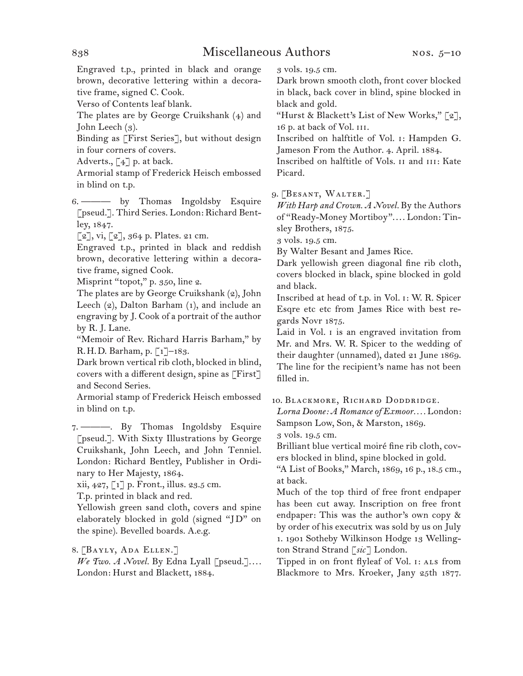Engraved t.p., printed in black and orange brown, decorative lettering within a decorative frame, signed C. Cook.

Verso of Contents leaf blank.

The plates are by George Cruikshank (4) and John Leech (3).

Binding as [First Series], but without design in four corners of covers.

Adverts.,  $\lceil 4 \rceil$  p. at back.

Armorial stamp of Frederick Heisch embossed in blind on t.p.

6.  ——— by Thomas Ingoldsby Esquire [pseud.]. Third Series. London: Richard Bentley, 1847.

 $\lceil 2 \rceil$ , vi,  $\lceil 2 \rceil$ , 364 p. Plates. 21 cm.

Engraved t.p., printed in black and reddish brown, decorative lettering within a decorative frame, signed Cook.

Misprint "topot," p. 350, line 2.

The plates are by George Cruikshank (2), John Leech (2), Dalton Barham (1), and include an engraving by J. Cook of a portrait of the author by R. J. Lane.

"Memoir of Rev. Richard Harris Barham," by R. H. D. Barham, p. [1]–183.

Dark brown vertical rib cloth, blocked in blind, covers with a different design, spine as [First] and Second Series.

Armorial stamp of Frederick Heisch embossed in blind on t.p.

7. ———. By Thomas Ingoldsby Esquire [pseud.]. With Sixty Illustrations by George Cruikshank, John Leech, and John Tenniel. London: Richard Bentley, Publisher in Ordinary to Her Majesty, 1864.

xii, 427, [1] p. Front., illus. 23.5 cm.

T.p. printed in black and red.

Yellowish green sand cloth, covers and spine elaborately blocked in gold (signed "J D" on the spine). Bevelled boards. A.e.g.

8.  [Bayly, Ada Ellen.]

*We Two. A Novel.* By Edna Lyall [pseud.].... London: Hurst and Blackett, 1884.

3 vols. 19.5 cm.

Dark brown smooth cloth, front cover blocked in black, back cover in blind, spine blocked in black and gold.

"Hurst & Blackett's List of New Works,"  $\lceil 2 \rceil$ , 16 p. at back of Vol. iii.

Inscribed on halftitle of Vol. i: Hampden G. Jameson From the Author. 4. April. 1884.

Inscribed on halftitle of Vols. ii and iii: Kate Picard.

# 9.  [Besant, Walter.]

*With Harp and Crown. A Novel.* By the Authors of "Ready-Money Mortiboy". . . . London: Tinsley Brothers, 1875.

3 vols. 19.5 cm.

By Walter Besant and James Rice.

Dark yellowish green diagonal fine rib cloth, covers blocked in black, spine blocked in gold and black.

Inscribed at head of t.p. in Vol. i: W. R. Spicer Esqre etc etc from James Rice with best regards Novr 1875.

Laid in Vol. i is an engraved invitation from Mr. and Mrs. W. R. Spicer to the wedding of their daughter (unnamed), dated 21 June 1869. The line for the recipient's name has not been filled in.

### 10.  Blackmore, Richard Doddridge.

*Lorna Doone: A Romance of Exmoor. . . .* London: Sampson Low, Son, & Marston, 1869.

3 vols. 19.5 cm.

Brilliant blue vertical moiré fine rib cloth, covers blocked in blind, spine blocked in gold.

"A List of Books," March, 1869, 16 p., 18.5 cm., at back.

Much of the top third of free front endpaper has been cut away. Inscription on free front endpaper: This was the author's own copy & by order of his executrix was sold by us on July 1. 1901 Sotheby Wilkinson Hodge 13 Wellington Strand Strand [*sic*] London.

Tipped in on front flyleaf of Vol. 1: ALS from Blackmore to Mrs. Kroeker, Jany 25th 1877.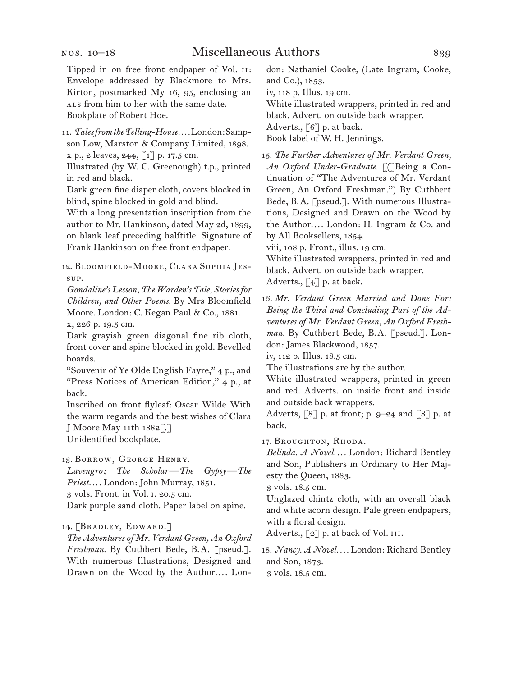11.  *Tales from the Telling-House. . . .*London:Sampson Low, Marston & Company Limited, 1898. x p., 2 leaves, 244, [1] p. 17.5 cm.

Illustrated (by W. C. Greenough) t.p., printed in red and black.

Dark green fine diaper cloth, covers blocked in blind, spine blocked in gold and blind.

With a long presentation inscription from the author to Mr. Hankinson, dated May 2d, 1899, on blank leaf preceding halftitle. Signature of Frank Hankinson on free front endpaper.

12.  Bloomfield-Moore, Clara Sophia Jessup.

*Gondaline's Lesson, The Warden's Tale, Stories for Children, and Other Poems.* By Mrs Bloomfield Moore. London: C. Kegan Paul & Co., 1881.

x, 226 p. 19.5 cm.

Dark grayish green diagonal fine rib cloth, front cover and spine blocked in gold. Bevelled boards.

"Souvenir of Ye Olde English Fayre," 4 p., and "Press Notices of American Edition," 4 p., at back.

Inscribed on front flyleaf: Oscar Wilde With the warm regards and the best wishes of Clara J Moore May 11th 1882[.]

Unidentified bookplate.

13.  Borrow, George Henry.

*Lavengro; The Scholar—The Gypsy—The Priest. . . .* London: John Murray, 1851. 3 vols. Front. in Vol. i. 20.5 cm.

Dark purple sand cloth. Paper label on spine.

14.  [Bradley, Edward.]

*The Adventures of Mr. Verdant Green, An Oxford Freshman.* By Cuthbert Bede, B. A. [pseud.]. With numerous Illustrations, Designed and Drawn on the Wood by the Author.... London: Nathaniel Cooke, (Late Ingram, Cooke, and Co.), 1853.

iv, 118 p. Illus. 19 cm.

White illustrated wrappers, printed in red and black. Advert. on outside back wrapper.

Adverts., [6] p. at back.

Book label of W. H. Jennings.

15.  *The Further Adventures of Mr. Verdant Green,*  An Oxford Under-Graduate. [(JBeing a Continuation of "The Adventures of Mr. Verdant Green, An Oxford Freshman.") By Cuthbert Bede, B. A. [pseud.]. With numerous Illustrations, Designed and Drawn on the Wood by the Author. . . . London: H. Ingram & Co. and by All Booksellers, 1854.

viii, 108 p. Front., illus. 19 cm.

White illustrated wrappers, printed in red and black. Advert. on outside back wrapper. Adverts.,  $\lceil 4 \rceil$  p. at back.

16.  *Mr. Verdant Green Married and Done For: Being the Third and Concluding Part of the Adventures of Mr. Verdant Green, An Oxford Freshman.* By Cuthbert Bede, B. A. [pseud.]. London: James Blackwood, 1857.

iv, 112 p. Illus. 18.5 cm.

The illustrations are by the author.

White illustrated wrappers, printed in green and red. Adverts. on inside front and inside and outside back wrappers.

Adverts,  $\lceil 8 \rceil$  p. at front; p. 9–24 and  $\lceil 8 \rceil$  p. at back.

17.  Broughton, Rhoda.

*Belinda. A Novel. . . .* London: Richard Bentley and Son, Publishers in Ordinary to Her Majesty the Queen, 1883.

3 vols. 18.5 cm.

Unglazed chintz cloth, with an overall black and white acorn design. Pale green endpapers, with a floral design.

Adverts., [2] p. at back of Vol. III.

18.  *Nancy. A Novel. . . .* London: Richard Bentley and Son, 1873. 3 vols. 18.5 cm.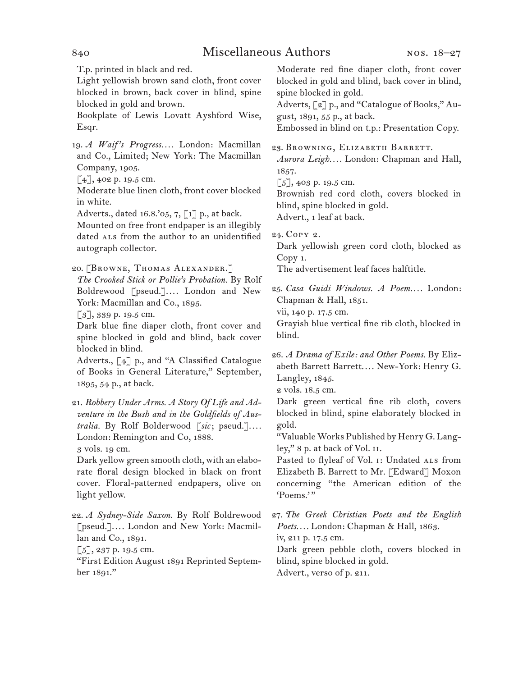# 840 Miscellaneous Authors

T.p. printed in black and red.

Light yellowish brown sand cloth, front cover blocked in brown, back cover in blind, spine blocked in gold and brown.

Bookplate of Lewis Lovatt Ayshford Wise, Esqr.

19.  *A Waif 's Progress. . . .* London: Macmillan and Co., Limited; New York: The Macmillan Company, 1905.

 $\lceil 4 \rceil$ , 402 p. 19.5 cm.

Moderate blue linen cloth, front cover blocked in white.

Adverts., dated 16.8.'05, 7, [1] p., at back.

Mounted on free front endpaper is an illegibly dated ALS from the author to an unidentified autograph collector.

20. [BROWNE, THOMAS ALEXANDER.]

*The Crooked Stick or Pollie's Probation.* By Rolf Boldrewood [pseud.]. . . . London and New York: Macmillan and Co., 1895.

[3], 339 p. 19.5 cm.

Dark blue fine diaper cloth, front cover and spine blocked in gold and blind, back cover blocked in blind.

Adverts., [4] p., and "A Classified Catalogue of Books in General Literature," September, 1895, 54 p., at back.

21.  *Robbery Under Arms. A Story Of Life and Adventure in the Bush and in the Goldfields of Australia.* By Rolf Bolderwood [*sic*; pseud.]. . . . London: Remington and Co, 1888.

3 vols. 19 cm.

Dark yellow green smooth cloth, with an elaborate floral design blocked in black on front cover. Floral-patterned endpapers, olive on light yellow.

22.  *A Sydney-Side Saxon.* By Rolf Boldrewood [pseud.]. . . . London and New York: Macmillan and Co., 1891.

 $\lceil 5 \rceil$ , 237 p. 19.5 cm.

"First Edition August 1891 Reprinted September 1891."

Moderate red fine diaper cloth, front cover blocked in gold and blind, back cover in blind, spine blocked in gold.

Adverts, [2] p., and "Catalogue of Books," August, 1891, 55 p., at back.

Embossed in blind on t.p.: Presentation Copy.

# 23.  Browning, Elizabeth Barrett.

*Aurora Leigh. . . .* London: Chapman and Hall, 1857.

[5], 403 p. 19.5 cm.

Brownish red cord cloth, covers blocked in blind, spine blocked in gold.

Advert., 1 leaf at back.

24.  Copy 2.

Dark yellowish green cord cloth, blocked as Copy 1.

The advertisement leaf faces halftitle.

25.  *Casa Guidi Windows. A Poem. . . .* London: Chapman & Hall, 1851.

vii, 140 p. 17.5 cm.

Grayish blue vertical fine rib cloth, blocked in blind.

26.  *A Drama of Exile: and Other Poems.* By Elizabeth Barrett Barrett.... New-York: Henry G. Langley, 1845.

2 vols. 18.5 cm.

Dark green vertical fine rib cloth, covers blocked in blind, spine elaborately blocked in gold.

"ValuableWorks Published by Henry G. Langley," 8 p. at back of Vol. ii.

Pasted to flyleaf of Vol. 1: Undated ALS from Elizabeth B. Barrett to Mr. [Edward] Moxon concerning "the American edition of the 'Poems.'"

27.  *The Greek Christian Poets and the English Poets. . . .* London: Chapman & Hall, 1863. iv, 211 p. 17.5 cm. Dark green pebble cloth, covers blocked in blind, spine blocked in gold.

Advert., verso of p. 211.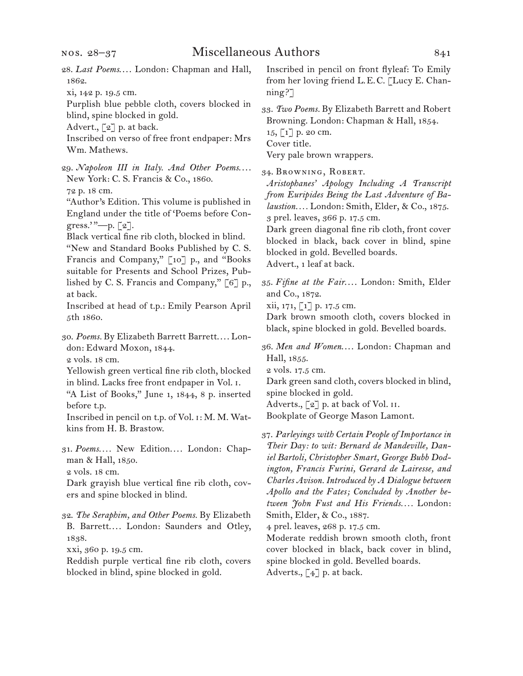- 28.  *Last Poems*. . . . London: Chapman and Hall, 1862.
- xi, 142 p. 19.5 cm.

Purplish blue pebble cloth, covers blocked in blind, spine blocked in gold.

Advert., [2] p. at back.

Inscribed on verso of free front endpaper: Mrs Wm. Mathews.

29.  *Napoleon III in Italy. And Other Poems*. . . . New York: C. S. Francis & Co., 1860.

72 p. 18 cm.

"Author's Edition. This volume is published in England under the title of 'Poems before Congress.' $"$ —p. [2].

Black vertical fine rib cloth, blocked in blind.

"New and Standard Books Published by C. S. Francis and Company," [10] p., and "Books suitable for Presents and School Prizes, Published by C. S. Francis and Company," [6] p., at back.

Inscribed at head of t.p.: Emily Pearson April 5th 1860.

30.  *Poems.* By Elizabeth Barrett Barrett. . . . London: Edward Moxon, 1844. 2 vols. 18 cm.

Yellowish green vertical fine rib cloth, blocked in blind. Lacks free front endpaper in Vol. i.

"A List of Books," June 1, 1844, 8 p. inserted before t.p.

Inscribed in pencil on t.p. of Vol. i: M. M. Watkins from H. B. Brastow.

31.  *Poems. . . .* New Edition. . . . London: Chapman & Hall, 1850.

2 vols. 18 cm.

Dark grayish blue vertical fine rib cloth, covers and spine blocked in blind.

32.  *The Seraphim, and Other Poems.* By Elizabeth B. Barrett. . . . London: Saunders and Otley, 1838.

xxi, 360 p. 19.5 cm.

Reddish purple vertical fine rib cloth, covers blocked in blind, spine blocked in gold.

Inscribed in pencil on front flyleaf: To Emily from her loving friend L. E. C. [Lucy E. Channing?]

33.  *Two Poems.* By Elizabeth Barrett and Robert Browning. London: Chapman & Hall, 1854.  $15, 1$ ] p. 20 cm. Cover title. Very pale brown wrappers.

34.  Browning, Robert.

*Aristophanes' Apology Including A Transcript from Euripides Being the Last Adventure of Balaustion. . . .* London: Smith, Elder, & Co., 1875. 3 prel. leaves, 366 p. 17.5 cm.

Dark green diagonal fine rib cloth, front cover blocked in black, back cover in blind, spine blocked in gold. Bevelled boards. Advert., 1 leaf at back.

35.  *Fifine at the Fair*. . . . London: Smith, Elder and Co., 1872.

xii, 171, [1] p. 17.5 cm.

Dark brown smooth cloth, covers blocked in black, spine blocked in gold. Bevelled boards.

36.  *Men and Women*. . . . London: Chapman and Hall, 1855.

2 vols. 17.5 cm.

Dark green sand cloth, covers blocked in blind, spine blocked in gold.

Adverts.,  $\lceil 2 \rceil$  p. at back of Vol. II.

Bookplate of George Mason Lamont.

37.  *Parleyings with Certain People of Importance in Their Day: to wit: Bernard de Mandeville, Daniel Bartoli, Christopher Smart, George Bubb Dodington, Francis Furini, Gerard de Lairesse, and Charles Avison. Introduced by A Dialogue between Apollo and the Fates; Concluded by Another between John Fust and His Friends. . . .* London: Smith, Elder, & Co., 1887.

4 prel. leaves, 268 p. 17.5 cm.

Moderate reddish brown smooth cloth, front cover blocked in black, back cover in blind, spine blocked in gold. Bevelled boards. Adverts.,  $\lceil 4 \rceil$  p. at back.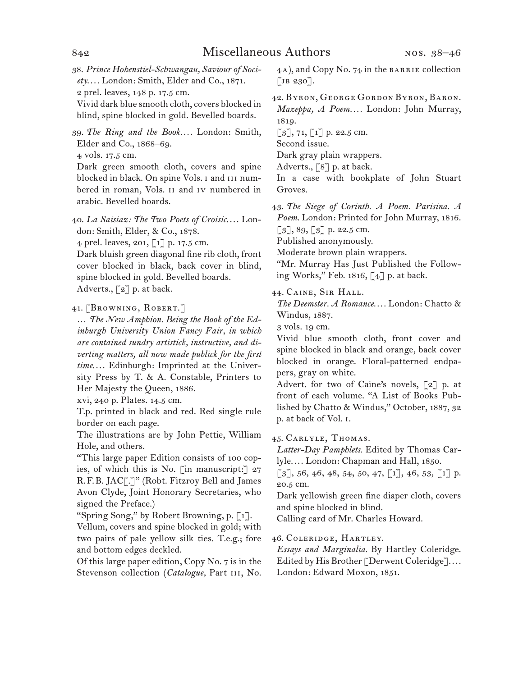38.  *Prince Hohenstiel-Schwangau, Saviour of Society*. . . . London: Smith, Elder and Co., 1871. 2 prel. leaves, 148 p. 17.5 cm.

Vivid dark blue smooth cloth, covers blocked in blind, spine blocked in gold. Bevelled boards.

39.  *The Ring and the Book. . . .* London: Smith, Elder and Co., 1868–69.

4 vols. 17.5 cm.

Dark green smooth cloth, covers and spine blocked in black. On spine Vols. I and III numbered in roman, Vols. ii and iv numbered in arabic. Bevelled boards.

40.  *La Saisiaz: The Two Poets of Croisic*. . . . London: Smith, Elder, & Co., 1878.

4 prel. leaves, 201, [1] p. 17.5 cm.

Dark bluish green diagonal fine rib cloth, front cover blocked in black, back cover in blind, spine blocked in gold. Bevelled boards. Adverts., [2] p. at back.

41.  [Browning, Robert.]

… *The New Amphion. Being the Book of the Edinburgh University Union Fancy Fair, in which are contained sundry artistick, instructive, and diverting matters, all now made publick for the first time*. . . . Edinburgh: Imprinted at the University Press by T. & A. Constable, Printers to Her Majesty the Queen, 1886.

xvi, 240 p. Plates. 14.5 cm.

T.p. printed in black and red. Red single rule border on each page.

The illustrations are by John Pettie, William Hole, and others.

"This large paper Edition consists of 100 copies, of which this is No. [in manuscript:] 27 R. F. B. JAC[.]" (Robt. Fitzroy Bell and James Avon Clyde, Joint Honorary Secretaries, who signed the Preface.)

"Spring Song," by Robert Browning, p. [1].

Vellum, covers and spine blocked in gold; with two pairs of pale yellow silk ties. T.e.g.; fore and bottom edges deckled.

Of this large paper edition, Copy No. 7 is in the Stevenson collection (Catalogue, Part III, No. 4a), and Copy No. 74 in the barrie collection  $\lceil$ JB 230].

42.  Byron, George Gordon Byron, Baron. *Mazeppa, A Poem. . . .* London: John Murray, 1819.

 $\lceil 3 \rceil$ , 71,  $\lceil 1 \rceil$  p. 22.5 cm.

Second issue.

Dark gray plain wrappers.

Adverts., [8] p. at back.

In a case with bookplate of John Stuart Groves.

43.  *The Siege of Corinth. A Poem. Parisina. A Poem.* London: Printed for John Murray, 1816.  $[3]$ , 89,  $[3]$  p. 22.5 cm.

Published anonymously.

Moderate brown plain wrappers.

"Mr. Murray Has Just Published the Following Works," Feb. 1816, [4] p. at back.

44.  Caine, Sir Hall.

*The Deemster. A Romance*. . . . London: Chatto & Windus, 1887.

3 vols. 19 cm.

Vivid blue smooth cloth, front cover and spine blocked in black and orange, back cover blocked in orange. Floral-patterned endpapers, gray on white.

Advert. for two of Caine's novels, [2] p. at front of each volume. "A List of Books Published by Chatto & Windus," October, 1887, 32 p. at back of Vol. i.

45.  Carlyle, Thomas.

*Latter-Day Pamphlets.* Edited by Thomas Carlyle. . . . London: Chapman and Hall, 1850.

 $\lbrack 3 \rbrack, 56, 46, 48, 54, 50, 47, \lbrack 1 \rbrack, 46, 53, \lbrack 1 \rbrack$  p. 20.5 cm.

Dark yellowish green fine diaper cloth, covers and spine blocked in blind.

Calling card of Mr. Charles Howard.

46.  Coleridge, Hartley.

*Essays and Marginalia.* By Hartley Coleridge. Edited by His Brother [Derwent Coleridge].... London: Edward Moxon, 1851.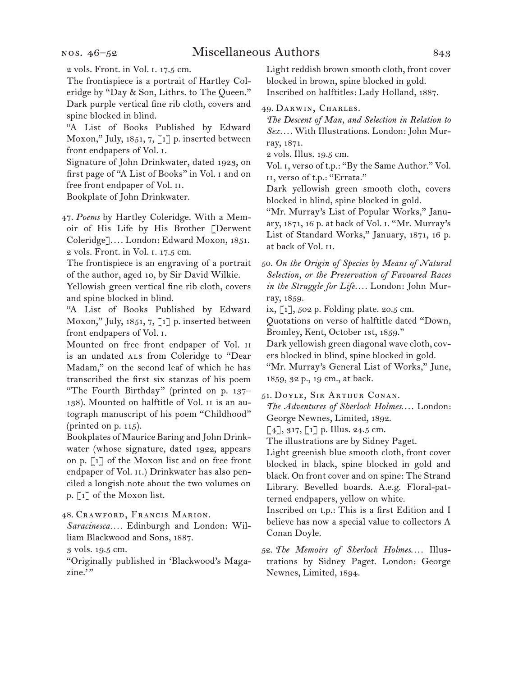### nos. 46–52

2 vols. Front. in Vol. i. 17.5 cm.

The frontispiece is a portrait of Hartley Coleridge by "Day & Son, Lithrs. to The Queen." Dark purple vertical fine rib cloth, covers and spine blocked in blind.

"A List of Books Published by Edward Moxon," July, 1851, 7, [1] p. inserted between front endpapers of Vol. i.

Signature of John Drinkwater, dated 1923, on first page of "A List of Books" in Vol. i and on free front endpaper of Vol. ii.

Bookplate of John Drinkwater.

47.  *Poems* by Hartley Coleridge. With a Memoir of His Life by His Brother [Derwent Coleridge]. . . . London: Edward Moxon, 1851. 2 vols. Front. in Vol. i. 17.5 cm.

The frontispiece is an engraving of a portrait of the author, aged 10, by Sir David Wilkie.

Yellowish green vertical fine rib cloth, covers and spine blocked in blind.

"A List of Books Published by Edward Moxon," July, 1851, 7, [1] p. inserted between front endpapers of Vol. i.

Mounted on free front endpaper of Vol. ii is an undated ALS from Coleridge to "Dear Madam," on the second leaf of which he has transcribed the first six stanzas of his poem "The Fourth Birthday" (printed on p. 137– 138). Mounted on halftitle of Vol. ii is an autograph manuscript of his poem "Childhood" (printed on p. 115).

Bookplates of Maurice Baring and John Drinkwater (whose signature, dated 1922, appears on p. [1] of the Moxon list and on free front endpaper of Vol. II.) Drinkwater has also penciled a longish note about the two volumes on p. [1] of the Moxon list.

48.  Crawford, Francis Marion.

*Saracinesca. . . .* Edinburgh and London: William Blackwood and Sons, 1887.

3 vols. 19.5 cm.

"Originally published in 'Blackwood's Magazine."

Light reddish brown smooth cloth, front cover blocked in brown, spine blocked in gold. Inscribed on halftitles: Lady Holland, 1887.

49.  Darwin, Charles.

*The Descent of Man, and Selection in Relation to Sex. . . .* With Illustrations. London: John Murray, 1871.

2 vols. Illus. 19.5 cm.

Vol. i, verso of t.p.: "By the Same Author." Vol. ii, verso of t.p.: "Errata."

Dark yellowish green smooth cloth, covers blocked in blind, spine blocked in gold.

"Mr. Murray's List of Popular Works," January, 1871, 16 p. at back of Vol. i. "Mr. Murray's List of Standard Works," January, 1871, 16 p. at back of Vol. ii.

50.  *On the Origin of Species by Means of Natural Selection, or the Preservation of Favoured Races in the Struggle for Life. . . .* London: John Murray, 1859.

ix, [1], 502 p. Folding plate. 20.5 cm.

Quotations on verso of halftitle dated "Down, Bromley, Kent, October 1st, 1859."

Dark yellowish green diagonal wave cloth, covers blocked in blind, spine blocked in gold.

"Mr. Murray's General List of Works," June, 1859, 32 p., 19 cm., at back.

51.  Doyle, Sir Arthur Conan.

*The Adventures of Sherlock Holmes*. . . . London: George Newnes, Limited, 1892.

 $[4]$ , 317,  $[1]$  p. Illus. 24.5 cm.

The illustrations are by Sidney Paget.

Light greenish blue smooth cloth, front cover blocked in black, spine blocked in gold and black. On front cover and on spine: The Strand Library. Bevelled boards. A.e.g. Floral-patterned endpapers, yellow on white.

Inscribed on t.p.: This is a first Edition and I believe has now a special value to collectors A Conan Doyle.

52.  *The Memoirs of Sherlock Holmes*. . . . Illustrations by Sidney Paget. London: George Newnes, Limited, 1894.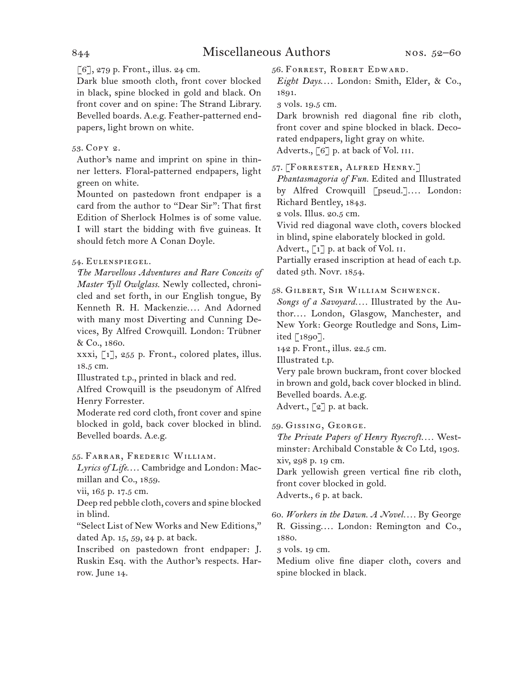# $\lceil 6 \rceil$ , 279 p. Front., illus. 24 cm.

Dark blue smooth cloth, front cover blocked in black, spine blocked in gold and black. On front cover and on spine: The Strand Library. Bevelled boards. A.e.g. Feather-patterned endpapers, light brown on white.

# 53.  Copy 2.

Author's name and imprint on spine in thinner letters. Floral-patterned endpapers, light green on white.

Mounted on pastedown front endpaper is a card from the author to "Dear Sir": That first Edition of Sherlock Holmes is of some value. I will start the bidding with five guineas. It should fetch more A Conan Doyle.

# 54.  Eulenspiegel.

*The Marvellous Adventures and Rare Conceits of Master Tyll Owlglass.* Newly collected, chronicled and set forth, in our English tongue, By Kenneth R. H. Mackenzie.... And Adorned with many most Diverting and Cunning Devices, By Alfred Crowquill. London: Trübner & Co., 1860.

xxxi, [1], 255 p. Front., colored plates, illus. 18.5 cm.

Illustrated t.p., printed in black and red.

Alfred Crowquill is the pseudonym of Alfred Henry Forrester.

Moderate red cord cloth, front cover and spine blocked in gold, back cover blocked in blind. Bevelled boards. A.e.g.

# 55.  Farrar, Frederic William.

Lyrics of Life.... Cambridge and London: Macmillan and Co., 1859.

vii, 165 p. 17.5 cm.

Deep red pebble cloth, covers and spine blocked in blind.

"Select List of New Works and New Editions," dated Ap. 15, 59, 24 p. at back.

Inscribed on pastedown front endpaper: J. Ruskin Esq. with the Author's respects. Harrow. June 14.

56.  Forrest, Robert Edward.

*Eight Days*. . . . London: Smith, Elder, & Co., 1891.

3 vols. 19.5 cm.

Dark brownish red diagonal fine rib cloth, front cover and spine blocked in black. Decorated endpapers, light gray on white. Adverts., [6] p. at back of Vol. III.

57.  [Forrester, Alfred Henry.]

*Phantasmagoria of Fun.* Edited and Illustrated by Alfred Crowquill [pseud.].... London: Richard Bentley, 1843.

2 vols. Illus. 20.5 cm.

Vivid red diagonal wave cloth, covers blocked in blind, spine elaborately blocked in gold.

Advert.,  $\lceil 1 \rceil$  p. at back of Vol. II.

Partially erased inscription at head of each t.p. dated 9th. Novr. 1854.

# 58.  Gilbert, Sir William Schwenck.

*Songs of a Savoyard. . . .* Illustrated by the Author. . . . London, Glasgow, Manchester, and New York: George Routledge and Sons, Limited [1890].

142 p. Front., illus. 22.5 cm.

Illustrated t.p.

Very pale brown buckram, front cover blocked in brown and gold, back cover blocked in blind. Bevelled boards. A.e.g.

Advert.,  $\lceil 2 \rceil$  p. at back.

59.  Gissing, George.

*The Private Papers of Henry Ryecroft. . . .* Westminster: Archibald Constable & Co Ltd, 1903. xiv, 298 p. 19 cm.

Dark yellowish green vertical fine rib cloth, front cover blocked in gold.

Adverts., 6 p. at back.

60.  *Workers in the Dawn. A Novel. . . .* By George R. Gissing. . . . London: Remington and Co., 1880.

3 vols. 19 cm.

Medium olive fine diaper cloth, covers and spine blocked in black.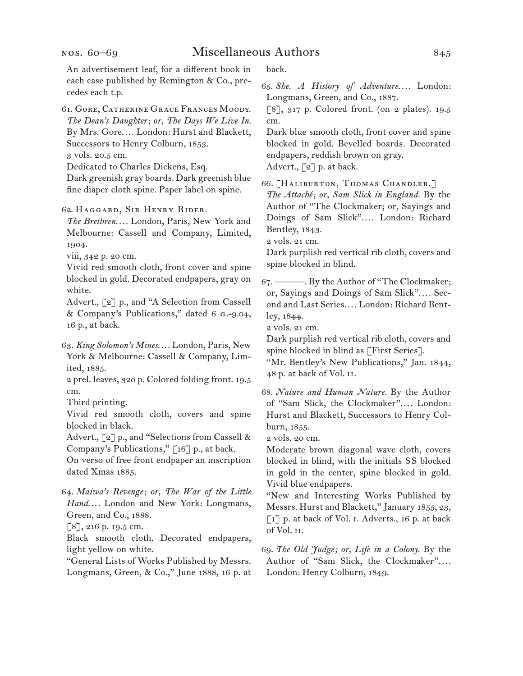An advertisement leaf, for a different book in each case published by Remington & Co., precedes each t.p.

61.  Gore, Catherine Grace Frances Moody. *The Dean's Daughter; or, The Days We Live In.* By Mrs. Gore. . . . London: Hurst and Blackett, Successors to Henry Colburn, 1853.

3 vols. 20.5 cm.

Dedicated to Charles Dickens, Esq.

Dark greenish gray boards. Dark greenish blue fine diaper cloth spine. Paper label on spine.

62.  Haggard, Sir Henry Rider.

*The Brethren. . . .* London, Paris, New York and Melbourne: Cassell and Company, Limited, 1904.

viii, 342 p. 20 cm.

Vivid red smooth cloth, front cover and spine blocked in gold. Decorated endpapers, gray on white.

Advert., [2] p., and "A Selection from Cassell & Company's Publications," dated 6 g.-9.04, 16 p., at back.

63.  *King Solomon's Mines*. . . . London, Paris, New York & Melbourne: Cassell & Company, Limited, 1885.

2 prel. leaves, 320 p. Colored folding front. 19.5 cm.

Third printing.

Vivid red smooth cloth, covers and spine blocked in black.

Advert., [2] p., and "Selections from Cassell & Company's Publications," [16] p., at back.

On verso of free front endpaper an inscription dated Xmas 1885.

64.  *Maiwa's Revenge; or, The War of the Little Hand*. . . . London and New York: Longmans, Green, and Co., 1888.

[8], 216 p. 19.5 cm.

Black smooth cloth. Decorated endpapers, light yellow on white.

"General Lists of Works Published by Messrs. Longmans, Green, & Co.," June 1888, 16 p. at back.

65.  *She. A History of Adventure. . . .* London: Longmans, Green, and Co., 1887.

[8], 317 p. Colored front. (on 2 plates). 19.5 cm.

Dark blue smooth cloth, front cover and spine blocked in gold. Bevelled boards. Decorated endpapers, reddish brown on gray. Advert.,  $\lceil 2 \rceil$  p. at back.

66.  [Haliburton, Thomas Chandler.] *The Attaché; or, Sam Slick in England.* By the Author of "The Clockmaker; or, Sayings and Doings of Sam Slick". . . . London: Richard Bentley, 1843.

2 vols. 21 cm.

Dark purplish red vertical rib cloth, covers and spine blocked in blind.

67.  ———. By the Author of "The Clockmaker; or, Sayings and Doings of Sam Slick". . . . Second and Last Series. . . . London: Richard Bentley, 1844.

2 vols. 21 cm.

Dark purplish red vertical rib cloth, covers and spine blocked in blind as [First Series].

"Mr. Bentley's New Publications," Jan. 1844, 48 p. at back of Vol. ii.

68.  *Nature and Human Nature.* By the Author of "Sam Slick, the Clockmaker". . . . London: Hurst and Blackett, Successors to Henry Colburn, 1855.

2 vols. 20 cm.

Moderate brown diagonal wave cloth, covers blocked in blind, with the initials S S blocked in gold in the center, spine blocked in gold. Vivid blue endpapers.

"New and Interesting Works Published by Messrs. Hurst and Blackett," January 1855, 23, [1] p. at back of Vol. i. Adverts., 16 p. at back of Vol. ii.

69.  *The Old Judge; or, Life in a Colony.* By the Author of "Sam Slick, the Clockmaker".... London: Henry Colburn, 1849.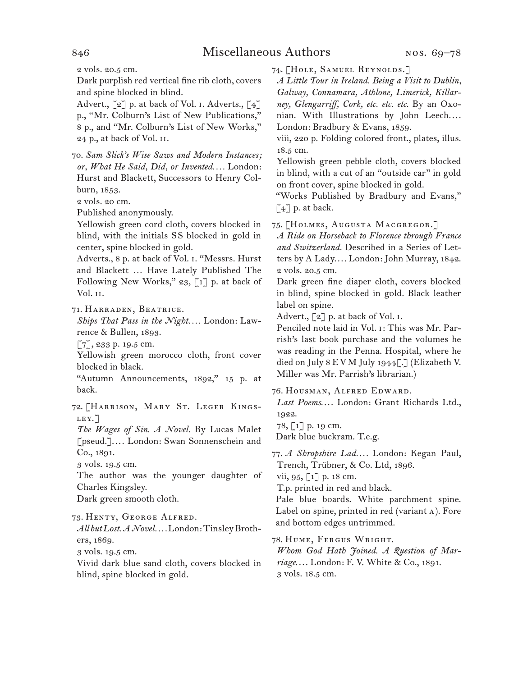2 vols. 20.5 cm.

Dark purplish red vertical fine rib cloth, covers and spine blocked in blind.

Advert.,  $\lceil 2 \rceil$  p. at back of Vol. 1. Adverts.,  $\lceil 4 \rceil$ p., "Mr. Colburn's List of New Publications," 8 p., and "Mr. Colburn's List of New Works," 24 p., at back of Vol. ii.

70.  *Sam Slick's Wise Saws and Modern Instances; or, What He Said, Did, or Invented. . . .* London: Hurst and Blackett, Successors to Henry Colburn, 1853.

2 vols. 20 cm.

Published anonymously.

Yellowish green cord cloth, covers blocked in blind, with the initials S S blocked in gold in center, spine blocked in gold.

Adverts., 8 p. at back of Vol. i. "Messrs. Hurst and Blackett … Have Lately Published The Following New Works,"  $23$ , [1] p. at back of Vol. ii.

71.  Harraden, Beatrice.

*Ships That Pass in the Night. . . .* London: Lawrence & Bullen, 1893.

[7], 233 p. 19.5 cm.

Yellowish green morocco cloth, front cover blocked in black.

"Autumn Announcements, 1892," 15 p. at back.

72.  [Harrison, Mary St. Leger Kings-LEY.]

*The Wages of Sin. A Novel.* By Lucas Malet [pseud.]. . . . London: Swan Sonnenschein and Co., 1891.

3 vols. 19.5 cm.

The author was the younger daughter of Charles Kingsley.

Dark green smooth cloth.

73.  Henty, George Alfred.

*All but Lost. A Novel. . . .*London:TinsleyBrothers, 1869.

3 vols. 19.5 cm.

Vivid dark blue sand cloth, covers blocked in blind, spine blocked in gold.

74.  [Hole, Samuel Reynolds.]

*A Little Tour in Ireland. Being a Visit to Dublin, Galway, Connamara, Athlone, Limerick, Killarney, Glengarriff, Cork, etc. etc. etc.* By an Oxonian. With Illustrations by John Leech.... London: Bradbury & Evans, 1859.

viii, 220 p. Folding colored front., plates, illus. 18.5 cm.

Yellowish green pebble cloth, covers blocked in blind, with a cut of an "outside car" in gold on front cover, spine blocked in gold.

"Works Published by Bradbury and Evans," [4] p. at back.

75.  [Holmes, Augusta Macgregor.]

*A Ride on Horseback to Florence through France and Switzerland.* Described in a Series of Letters by A Lady. . . . London: John Murray, 1842. 2 vols. 20.5 cm.

Dark green fine diaper cloth, covers blocked in blind, spine blocked in gold. Black leather label on spine.

Advert.,  $\lceil 2 \rceil$  p. at back of Vol. I.

Penciled note laid in Vol. i: This was Mr. Parrish's last book purchase and the volumes he was reading in the Penna. Hospital, where he died on July 8 E V M July 1944[.] (Elizabeth V. Miller was Mr. Parrish's librarian.)

76.  Housman, Alfred Edward.

*Last Poems*. . . . London: Grant Richards Ltd., 1922.

78, [1] p. 19 cm.

Dark blue buckram. T.e.g.

77.  *A Shropshire Lad. . . .* London: Kegan Paul, Trench, Trübner, & Co. Ltd, 1896.

vii, 95, [1] p. 18 cm.

T.p. printed in red and black.

Pale blue boards. White parchment spine. Label on spine, printed in red (variant a). Fore and bottom edges untrimmed.

78.  Hume, Fergus Wright.

*Whom God Hath Joined. A Question of Marriage*. . . . London: F. V. White & Co., 1891. 3 vols. 18.5 cm.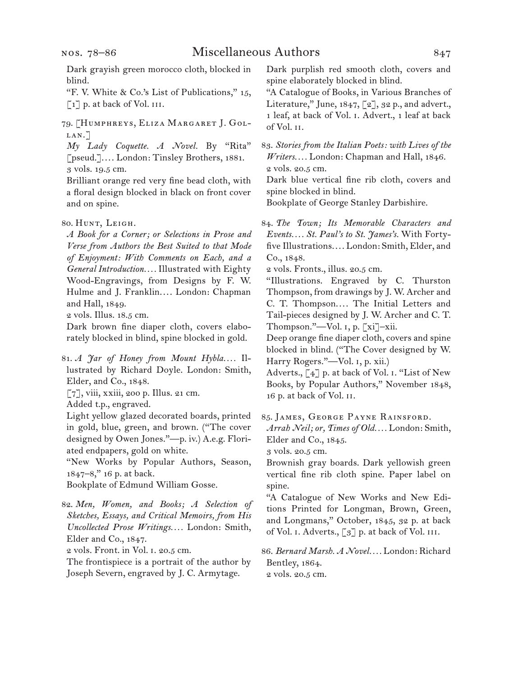# Miscellaneous Authors 847

"F. V. White & Co.'s List of Publications," 15,  $\lceil 1 \rceil$  p. at back of Vol. III.

79.  [Humphreys, Eliza Margaret J. Gollan.]

*My Lady Coquette. A Novel.* By "Rita" [pseud.]. . . . London: Tinsley Brothers, 1881. 3 vols. 19.5 cm.

Brilliant orange red very fine bead cloth, with a floral design blocked in black on front cover and on spine.

*A Book for a Corner; or Selections in Prose and Verse from Authors the Best Suited to that Mode of Enjoyment: With Comments on Each, and a General Introduction. . . .* Illustrated with Eighty Wood-Engravings, from Designs by F. W. Hulme and J. Franklin.... London: Chapman and Hall, 1849.

2 vols. Illus. 18.5 cm.

Dark brown fine diaper cloth, covers elaborately blocked in blind, spine blocked in gold.

81.  *A Jar of Honey from Mount Hybla. . . .* Illustrated by Richard Doyle. London: Smith, Elder, and Co., 1848.

[7], viii, xxiii, 200 p. Illus. 21 cm.

Added t.p., engraved.

Light yellow glazed decorated boards, printed in gold, blue, green, and brown. ("The cover designed by Owen Jones."—p. iv.) A.e.g. Floriated endpapers, gold on white.

"New Works by Popular Authors, Season, 1847–8," 16 p. at back.

Bookplate of Edmund William Gosse.

82.  *Men, Women, and Books; A Selection of Sketches, Essays, and Critical Memoirs, from His Uncollected Prose Writings. . . .* London: Smith, Elder and Co., 1847.

2 vols. Front. in Vol. i. 20.5 cm.

The frontispiece is a portrait of the author by Joseph Severn, engraved by J. C. Armytage.

Dark purplish red smooth cloth, covers and spine elaborately blocked in blind.

"A Catalogue of Books, in Various Branches of Literature," June,  $1847, 2$ ],  $32$  p., and advert. 1 leaf, at back of Vol. i. Advert., 1 leaf at back of Vol. ii.

83.  *Stories from the Italian Poets: with Lives of the Writers. . . .* London: Chapman and Hall, 1846. 2 vols. 20.5 cm.

Dark blue vertical fine rib cloth, covers and spine blocked in blind.

Bookplate of George Stanley Darbishire.

84.  *The Town; Its Memorable Characters and Events. . . . St. Paul's to St. James's.* With Fortyfive Illustrations. . . . London: Smith, Elder, and Co., 1848.

2 vols. Fronts., illus. 20.5 cm.

"Illustrations. Engraved by C. Thurston Thompson, from drawings by J. W. Archer and C. T. Thompson. . . . The Initial Letters and Tail-pieces designed by J. W. Archer and C. T. Thompson."—Vol. i, p. [xi]–xii.

Deep orange fine diaper cloth, covers and spine blocked in blind. ("The Cover designed by W. Harry Rogers."—Vol. i, p. xii.)

Adverts., [4] p. at back of Vol. i. "List of New Books, by Popular Authors," November 1848, 16 p. at back of Vol. ii.

85.  James, George Payne Rainsford.

*Arrah Neil; or, Times of Old. . . .* London: Smith, Elder and Co., 1845.

3 vols. 20.5 cm.

Brownish gray boards. Dark yellowish green vertical fine rib cloth spine. Paper label on spine.

"A Catalogue of New Works and New Editions Printed for Longman, Brown, Green, and Longmans," October, 1845, 32 p. at back of Vol. I. Adverts., [3] p. at back of Vol. III.

86.  *Bernard Marsh. A Novel. . . .* London: Richard Bentley, 1864.

2 vols. 20.5 cm.

<sup>80.</sup> HUNT, LEIGH.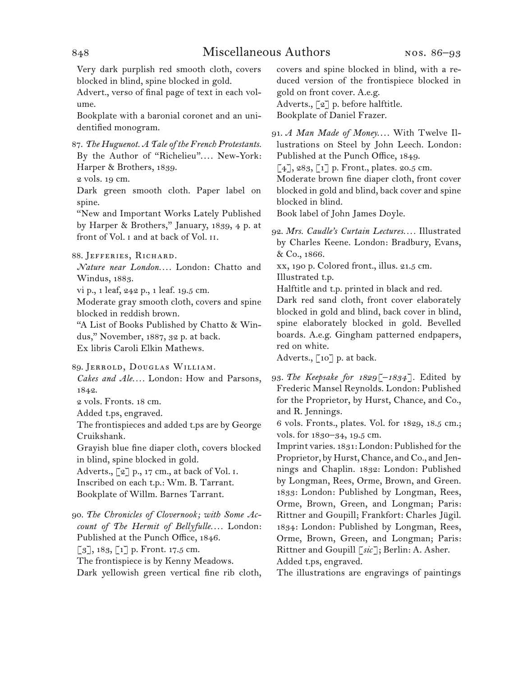Very dark purplish red smooth cloth, covers blocked in blind, spine blocked in gold.

Advert., verso of final page of text in each volume.

Bookplate with a baronial coronet and an unidentified monogram.

87.  *The Huguenot. A Tale of the French Protestants.* By the Author of "Richelieu".... New-York: Harper & Brothers, 1839.

2 vols. 19 cm.

Dark green smooth cloth. Paper label on spine.

"New and Important Works Lately Published by Harper & Brothers," January, 1839, 4 p. at front of Vol. i and at back of Vol. ii.

88.  Jefferies, Richard.

*Nature near London. . . .* London: Chatto and Windus, 1883.

vi p., 1 leaf, 242 p., 1 leaf. 19.5 cm.

Moderate gray smooth cloth, covers and spine blocked in reddish brown.

"A List of Books Published by Chatto & Windus," November, 1887, 32 p. at back. Ex libris Caroli Elkin Mathews.

89.  Jerrold, Douglas William.

*Cakes and Ale. . . .* London: How and Parsons, 1842.

2 vols. Fronts. 18 cm.

Added t.ps, engraved.

The frontispieces and added t.ps are by George Cruikshank.

Grayish blue fine diaper cloth, covers blocked in blind, spine blocked in gold.

Adverts.,  $\lbrack 2 \rbrack$  p., 17 cm., at back of Vol. 1. Inscribed on each t.p.: Wm. B. Tarrant. Bookplate of Willm. Barnes Tarrant.

90.  *The Chronicles of Clovernook; with Some Account of The Hermit of Bellyfulle. . . .* London: Published at the Punch Office, 1846.

[3], 183, [1] p. Front. 17.5 cm.

The frontispiece is by Kenny Meadows. Dark yellowish green vertical fine rib cloth, covers and spine blocked in blind, with a reduced version of the frontispiece blocked in gold on front cover. A.e.g. Adverts., [2] p. before halftitle. Bookplate of Daniel Frazer.

91.  *A Man Made of Money*. . . . With Twelve Illustrations on Steel by John Leech. London: Published at the Punch Office, 1849.

 $\lceil 4 \rceil$ , 283,  $\lceil 1 \rceil$  p. Front., plates. 20.5 cm.

Moderate brown fine diaper cloth, front cover blocked in gold and blind, back cover and spine blocked in blind.

Book label of John James Doyle.

92.  *Mrs. Caudle's Curtain Lectures. . . .* Illustrated by Charles Keene. London: Bradbury, Evans, & Co., 1866.

xx, 190 p. Colored front., illus. 21.5 cm.

Illustrated t.p.

Halftitle and t.p. printed in black and red.

Dark red sand cloth, front cover elaborately blocked in gold and blind, back cover in blind, spine elaborately blocked in gold. Bevelled boards. A.e.g. Gingham patterned endpapers, red on white.

Adverts., [10] p. at back.

93.  *The Keepsake for 1829[–1834].* Edited by Frederic Mansel Reynolds. London: Published for the Proprietor, by Hurst, Chance, and Co., and R. Jennings.

6 vols. Fronts., plates. Vol. for 1829, 18.5 cm.; vols. for 1830–34, 19.5 cm.

Imprint varies. 1831: London: Published forthe Proprietor, by Hurst, Chance, and Co., and Jennings and Chaplin. 1832: London: Published by Longman, Rees, Orme, Brown, and Green. 1833: London: Published by Longman, Rees, Orme, Brown, Green, and Longman; Paris: Rittner and Goupill; Frankfort: Charles Jügil. 1834: London: Published by Longman, Rees, Orme, Brown, Green, and Longman; Paris: Rittner and Goupill [*sic*]; Berlin: A. Asher.

Added t.ps, engraved.

The illustrations are engravings of paintings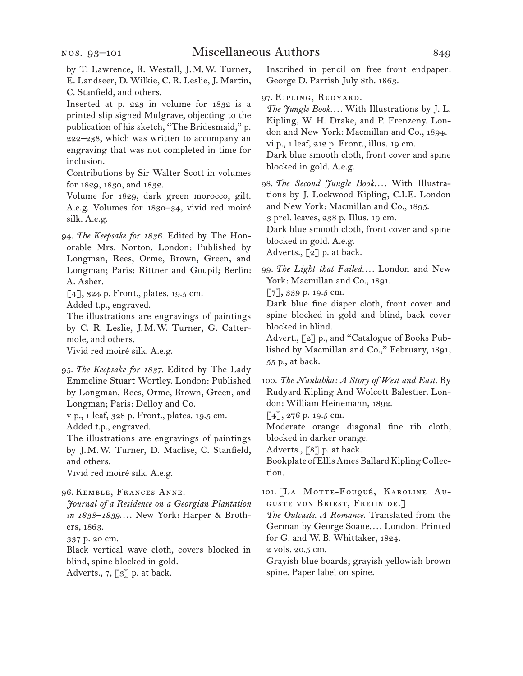by T. Lawrence, R. Westall, J. M. W. Turner, E. Landseer, D. Wilkie, C. R. Leslie, J. Martin, C. Stanfield, and others.

Inserted at p. 223 in volume for 1832 is a printed slip signed Mulgrave, objecting to the publication of his sketch, "The Bridesmaid," p. 222–238, which was written to accompany an engraving that was not completed in time for inclusion.

Contributions by Sir Walter Scott in volumes for 1829, 1830, and 1832.

Volume for 1829, dark green morocco, gilt. A.e.g. Volumes for 1830–34, vivid red moiré silk. A.e.g.

94.  *The Keepsake for 1836.* Edited by The Honorable Mrs. Norton. London: Published by Longman, Rees, Orme, Brown, Green, and Longman; Paris: Rittner and Goupil; Berlin: A. Asher.

[4], 324 p. Front., plates. 19.5 cm. Added t.p., engraved.

The illustrations are engravings of paintings by C. R. Leslie, J. M. W. Turner, G. Cattermole, and others. Vivid red moiré silk. A.e.g.

95.  *The Keepsake for 1837.* Edited by The Lady Emmeline Stuart Wortley. London: Published by Longman, Rees, Orme, Brown, Green, and Longman; Paris: Delloy and Co.

v p., 1 leaf, 328 p. Front., plates. 19.5 cm. Added t.p., engraved.

The illustrations are engravings of paintings by J. M. W. Turner, D. Maclise, C. Stanfield, and others.

Vivid red moiré silk. A.e.g.

96.  Kemble, Frances Anne.

*Journal of a Residence on a Georgian Plantation in 1838–1839*. . . . New York: Harper & Brothers, 1863.

337 p. 20 cm.

Black vertical wave cloth, covers blocked in blind, spine blocked in gold.

Adverts.,  $7, \lceil 3 \rceil$  p. at back.

Inscribed in pencil on free front endpaper: George D. Parrish July 8th. 1863.

97.  Kipling, Rudyard.

*The Jungle Book. . . .* With Illustrations by J. L. Kipling, W. H. Drake, and P. Frenzeny. London and New York: Macmillan and Co., 1894. vi p., 1 leaf, 212 p. Front., illus. 19 cm. Dark blue smooth cloth, front cover and spine blocked in gold. A.e.g.

98.  *The Second Jungle Book. . . .* With Illustrations by J. Lockwood Kipling, C.I.E. London and New York: Macmillan and Co., 1895.

3 prel. leaves, 238 p. Illus. 19 cm.

Dark blue smooth cloth, front cover and spine blocked in gold. A.e.g.

Adverts., [2] p. at back.

99.  *The Light that Failed. . . .* London and New York: Macmillan and Co., 1891.

[7], 339 p. 19.5 cm.

Dark blue fine diaper cloth, front cover and spine blocked in gold and blind, back cover blocked in blind.

Advert., [2] p., and "Catalogue of Books Published by Macmillan and Co.," February, 1891, 55 p., at back.

100.  *The Naulahka: A Story of West and East.* By Rudyard Kipling And Wolcott Balestier. London: William Heinemann, 1892.

 $[4]$ , 276 p. 19.5 cm.

Moderate orange diagonal fine rib cloth, blocked in darker orange.

Adverts., [8] p. at back.

Bookplate of Ellis Ames Ballard Kipling Collection.

101. [LA MOTTE-FOUQUÉ, KAROLINE AUguste von Briest, Freiin de.]

*The Outcasts. A Romance.* Translated from the German by George Soane. . . . London: Printed for G. and W. B. Whittaker, 1824.

2 vols. 20.5 cm.

Grayish blue boards; grayish yellowish brown spine. Paper label on spine.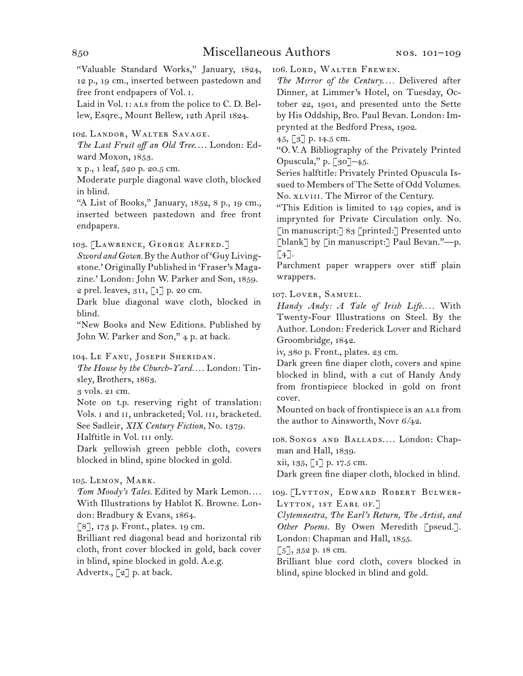"Valuable Standard Works," January, 1824, 12 p., 19 cm., inserted between pastedown and free front endpapers of Vol. i.

Laid in Vol. 1: ALS from the police to C. D. Bellew, Esqre., Mount Bellew, 12th April 1824.

102.  Landor, Walter Savage.

*The Last Fruit off an Old Tree*. . . . London: Edward Moxon, 1853.

x p., 1 leaf, 520 p. 20.5 cm.

Moderate purple diagonal wave cloth, blocked in blind.

"A List of Books," January, 1852, 8 p., 19 cm., inserted between pastedown and free front endpapers.

103.  [Lawrence, George Alfred.]

*Sword and Gown.*By theAuthor of 'GuyLivingstone.' Originally Published in 'Fraser's Magazine.' London: John W. Parker and Son, 1859.

2 prel. leaves,  $311, 71$  p. 20 cm.

Dark blue diagonal wave cloth, blocked in blind.

"New Books and New Editions. Published by John W. Parker and Son," 4 p. at back.

104.  Le Fanu, Joseph Sheridan.

*The House by the Church-Yard. . . .* London: Tinsley, Brothers, 1863.

3 vols. 21 cm.

Note on t.p. reserving right of translation: Vols. I and II, unbracketed; Vol. III, bracketed. See Sadleir, *XIX Century Fiction,* No. 1379.

Halftitle in Vol. III only.

Dark yellowish green pebble cloth, covers blocked in blind, spine blocked in gold.

# 105.  Lemon, Mark.

*Tom Moody's Tales.* Edited by Mark Lemon. . . . With Illustrations by Hablot K. Browne. London: Bradbury & Evans, 1864.

[8], 173 p. Front., plates. 19 cm.

Brilliant red diagonal bead and horizontal rib cloth, front cover blocked in gold, back cover in blind, spine blocked in gold. A.e.g. Adverts., [2] p. at back.

106.  Lord, Walter Frewen.

*The Mirror of the Century. . . .* Delivered after Dinner, at Limmer's Hotel, on Tuesday, October 22, 1901, and presented unto the Sette by His Oddship, Bro. Paul Bevan. London: Imprynted at the Bedford Press, 1902.

45, [3] p. 14.5 cm.

"O. V. A Bibliography of the Privately Printed Opuscula," p.  $\lceil 30 \rceil$ –45.

Series halftitle: Privately Printed Opuscula Issued to Members of The Sette of Odd Volumes. No. xlviii. The Mirror of the Century.

"This Edition is limited to 149 copies, and is imprynted for Private Circulation only. No. [in manuscript:] 83 [printed:] Presented unto [blank] by [in manuscript:] Paul Bevan."---p.  $\lceil 4 \rceil$ .

Parchment paper wrappers over stiff plain wrappers.

107.  Lover, Samuel.

*Handy Andy: A Tale of Irish Life....* With Twenty-Four Illustrations on Steel. By the Author. London: Frederick Lover and Richard Groombridge, 1842.

iv, 380 p. Front., plates. 23 cm.

Dark green fine diaper cloth, covers and spine blocked in blind, with a cut of Handy Andy from frontispiece blocked in gold on front cover.

Mounted on back of frontispiece is an ALS from the author to Ainsworth, Novr 6/42.

108.  Songs and Ballads. . . . London: Chapman and Hall, 1839.

 $xii, 135, 1] p. 17.5 cm.$ 

Dark green fine diaper cloth, blocked in blind.

109.  [Lytton, Edward Robert Bulwer-LYTTON, 1ST EARL OF.]

*Clytemnestra, The Earl's Return, The Artist, and*  Other Poems. By Owen Meredith [pseud.]. London: Chapman and Hall, 1855.

 $\lceil 5 \rceil$ , 352 p. 18 cm.

Brilliant blue cord cloth, covers blocked in blind, spine blocked in blind and gold.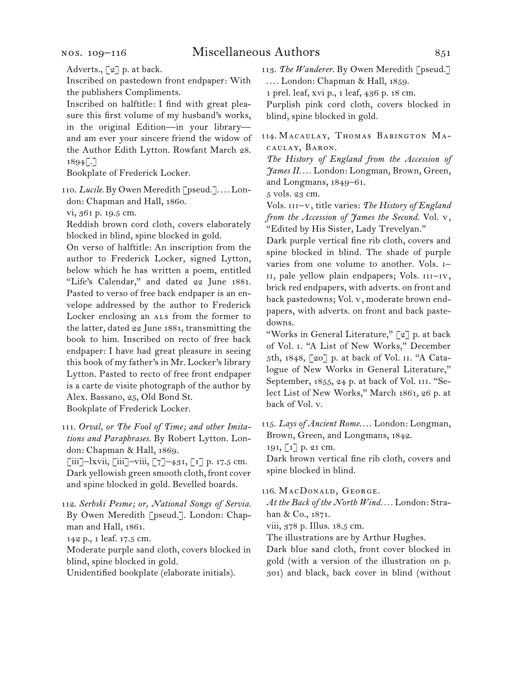Adverts., [2] p. at back.

Inscribed on pastedown front endpaper: With the publishers Compliments.

Inscribed on halftitle: I find with great pleasure this first volume of my husband's works, in the original Edition—in your library and am ever your sincere friend the widow of the Author Edith Lytton. Rowfant March 28.  $1894$ .

Bookplate of Frederick Locker.

110.  *Lucile.* By Owen Meredith [pseud.]. . . . London: Chapman and Hall, 1860.

vi, 361 p. 19.5 cm.

Reddish brown cord cloth, covers elaborately blocked in blind, spine blocked in gold.

On verso of halftitle: An inscription from the author to Frederick Locker, signed Lytton, below which he has written a poem, entitled "Life's Calendar," and dated 22 June 1881. Pasted to verso of free back endpaper is an envelope addressed by the author to Frederick Locker enclosing an ALS from the former to the latter, dated 22 June 1881, transmitting the book to him. Inscribed on recto of free back endpaper: I have had great pleasure in seeing this book of my father's in Mr. Locker's library Lytton. Pasted to recto of free front endpaper is a carte de visite photograph of the author by Alex. Bassano, 25, Old Bond St. Bookplate of Frederick Locker.

111.  *Orval, or The Fool of Time; and other Imitations and Paraphrases.* By Robert Lytton. London: Chapman & Hall, 1869.

[iii]–lxvii, [iii]–viii, [7]–431, [1] p. 17.5 cm. Dark yellowish green smooth cloth, front cover and spine blocked in gold. Bevelled boards.

112.  *Serbski Pesme; or, National Songs of Servia.* By Owen Meredith [pseud.]. London: Chapman and Hall, 1861.

142 p., 1 leaf. 17.5 cm.

Moderate purple sand cloth, covers blocked in blind, spine blocked in gold.

Unidentified bookplate (elaborate initials).

113.  *The Wanderer.* By Owen Meredith [pseud.] . . . . London: Chapman & Hall, 1859.

1 prel. leaf, xvi p., 1 leaf, 436 p. 18 cm.

Purplish pink cord cloth, covers blocked in blind, spine blocked in gold.

114.  Macaulay, Thomas Babington Macaulay, Baron.

*The History of England from the Accession of James II. . . .* London: Longman, Brown, Green, and Longmans, 1849–61.

5 vols. 23 cm.

Vols. iii–v, title varies: *The History of England from the Accession of James the Second.* Vol. v, "Edited by His Sister, Lady Trevelyan."

Dark purple vertical fine rib cloth, covers and spine blocked in blind. The shade of purple varies from one volume to another. Vols. i– ii, pale yellow plain endpapers; Vols. iii–iv, brick red endpapers, with adverts. on front and back pastedowns; Vol. v, moderate brown endpapers, with adverts. on front and back pastedowns.

"Works in General Literature," [2] p. at back of Vol. i. "A List of New Works," December 5th, 1848, [20] p. at back of Vol. ii. "A Catalogue of New Works in General Literature," September, 1855, 24 p. at back of Vol. III. "Select List of New Works," March 1861, 26 p. at back of Vol. v.

115.  *Lays of Ancient Rome*. . . . London: Longman, Brown, Green, and Longmans, 1842.

191, [1] p. 21 cm.

Dark brown vertical fine rib cloth, covers and spine blocked in blind.

116.  MacDonald, George.

*At the Back of the North Wind. . . .* London: Strahan & Co., 1871.

viii, 378 p. Illus. 18.5 cm.

The illustrations are by Arthur Hughes.

Dark blue sand cloth, front cover blocked in gold (with a version of the illustration on p. 301) and black, back cover in blind (without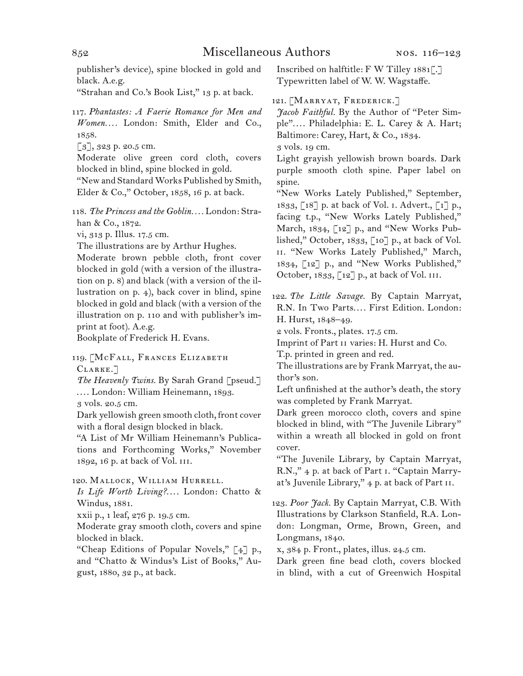publisher's device), spine blocked in gold and black. A.e.g.

"Strahan and Co.'s Book List," 13 p. at back.

117.  *Phantastes: A Faerie Romance for Men and Women. . . .* London: Smith, Elder and Co., 1858.

[3], 323 p. 20.5 cm.

Moderate olive green cord cloth, covers blocked in blind, spine blocked in gold.

"New and Standard Works Published by Smith, Elder & Co.," October, 1858, 16 p. at back.

118.  *The Princess and the Goblin. . . .* London: Strahan & Co., 1872.

vi, 313 p. Illus. 17.5 cm.

The illustrations are by Arthur Hughes.

Moderate brown pebble cloth, front cover blocked in gold (with a version of the illustration on p. 8) and black (with a version of the illustration on p. 4), back cover in blind, spine blocked in gold and black (with a version of the illustration on p. 110 and with publisher's imprint at foot). A.e.g.

Bookplate of Frederick H. Evans.

119.  [McFall, Frances Elizabeth CLARKE.<sup>7</sup>

The Heavenly Twins. By Sarah Grand [pseud.] . . . . London: William Heinemann, 1893.

3 vols. 20.5 cm.

Dark yellowish green smooth cloth, front cover with a floral design blocked in black.

"A List of Mr William Heinemann's Publications and Forthcoming Works," November 1892, 16 p. at back of Vol. iii.

120.  Mallock, William Hurrell.

*Is Life Worth Living?*. . . . London: Chatto & Windus, 1881.

xxii p., 1 leaf, 276 p. 19.5 cm.

Moderate gray smooth cloth, covers and spine blocked in black.

"Cheap Editions of Popular Novels," [4] p., and "Chatto & Windus's List of Books," August, 1880, 32 p., at back.

Inscribed on halftitle: F W Tilley 1881[.] Typewritten label of W. W. Wagstaffe.

121.  [Marryat, Frederick.]

*Jacob Faithful.* By the Author of "Peter Simple". . . . Philadelphia: E. L. Carey & A. Hart; Baltimore: Carey, Hart, & Co., 1834.

3 vols. 19 cm.

Light grayish yellowish brown boards. Dark purple smooth cloth spine. Paper label on spine.

"New Works Lately Published," September, 1833, [18] p. at back of Vol. i. Advert., [1] p., facing t.p., "New Works Lately Published," March, 1834, [12] p., and "New Works Published," October, 1833, [10] p., at back of Vol. ii. "New Works Lately Published," March, 1834, [12] p., and "New Works Published," October, 1833, [12] p., at back of Vol. iii.

122.  *The Little Savage.* By Captain Marryat, R.N. In Two Parts.... First Edition. London: H. Hurst, 1848–49.

2 vols. Fronts., plates. 17.5 cm.

Imprint of Part ii varies: H. Hurst and Co.

T.p. printed in green and red.

The illustrations are by Frank Marryat, the author's son.

Left unfinished at the author's death, the story was completed by Frank Marryat.

Dark green morocco cloth, covers and spine blocked in blind, with "The Juvenile Library" within a wreath all blocked in gold on front cover.

"The Juvenile Library, by Captain Marryat, R.N.," 4 p. at back of Part i. "Captain Marryat's Juvenile Library," 4 p. at back of Part ii.

123.  *Poor Jack.* By Captain Marryat, C.B. With Illustrations by Clarkson Stanfield, R.A. London: Longman, Orme, Brown, Green, and Longmans, 1840.

x, 384 p. Front., plates, illus. 24.5 cm.

Dark green fine bead cloth, covers blocked in blind, with a cut of Greenwich Hospital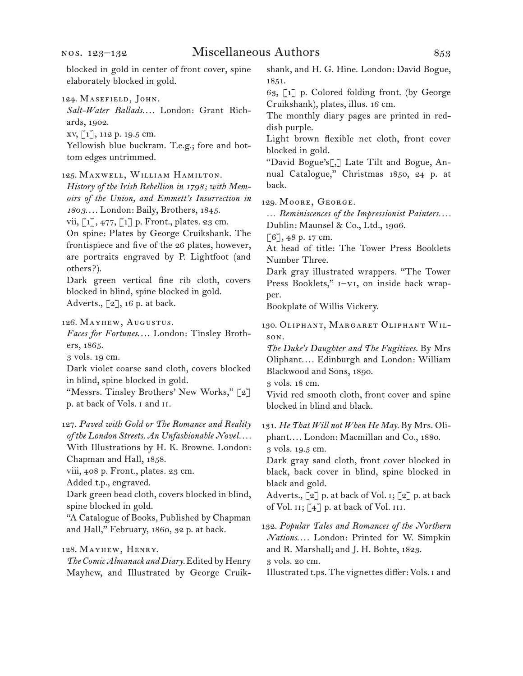blocked in gold in center of front cover, spine elaborately blocked in gold.

*Salt-Water Ballads*. . . . London: Grant Richards, 1902.

xv, [1], 112 p. 19.5 cm.

Yellowish blue buckram. T.e.g.; fore and bottom edges untrimmed.

125.  Maxwell, William Hamilton.

*History of the Irish Rebellion in 1798; with Memoirs of the Union, and Emmett's Insurrection in 1803*. . . . London: Baily, Brothers, 1845.

vii,  $\begin{bmatrix} 1 \end{bmatrix}$ , 477,  $\begin{bmatrix} 1 \end{bmatrix}$  p. Front., plates. 23 cm.

On spine: Plates by George Cruikshank. The frontispiece and five of the 26 plates, however, are portraits engraved by P. Lightfoot (and others?).

Dark green vertical fine rib cloth, covers blocked in blind, spine blocked in gold. Adverts.,  $\lbrack 2 \rbrack$ , 16 p. at back.

126.  Mayhew, Augustus.

*Faces for Fortunes*. . . . London: Tinsley Brothers, 1865.

3 vols. 19 cm.

Dark violet coarse sand cloth, covers blocked in blind, spine blocked in gold.

"Messrs. Tinsley Brothers' New Works," [2] p. at back of Vols. i and ii.

127.  *Paved with Gold or The Romance and Reality of the London Streets. An Unfashionable Novel. . . .* With Illustrations by H. K. Browne. London:

Chapman and Hall, 1858. viii, 408 p. Front., plates. 23 cm.

Added t.p., engraved.

Dark green bead cloth, covers blocked in blind, spine blocked in gold.

"A Catalogue of Books, Published by Chapman and Hall," February, 1860, 32 p. at back.

128.  Mayhew, Henry.

*The Comic Almanack and Diary.*Edited by Henry Mayhew, and Illustrated by George Cruikshank, and H. G. Hine. London: David Bogue, 1851.

63, [1] p. Colored folding front. (by George Cruikshank), plates, illus. 16 cm.

The monthly diary pages are printed in reddish purple.

Light brown flexible net cloth, front cover blocked in gold.

"David Bogue's[,] Late Tilt and Bogue, Annual Catalogue," Christmas 1850, 24 p. at back.

129.  Moore, George.

… *Reminiscences of the Impressionist Painters. . . .* Dublin: Maunsel & Co., Ltd., 1906.

[6], 48 p. 17 cm.

At head of title: The Tower Press Booklets Number Three.

Dark gray illustrated wrappers. "The Tower Press Booklets,"  $i$ -vi, on inside back wrapper.

Bookplate of Willis Vickery.

130.  Oliphant, Margaret Oliphant Wilson.

*The Duke's Daughter and The Fugitives.* By Mrs Oliphant. . . . Edinburgh and London: William Blackwood and Sons, 1890.

3 vols. 18 cm.

Vivid red smooth cloth, front cover and spine blocked in blind and black.

131.  *He That Will not When He May.* By Mrs. Oliphant. . . . London: Macmillan and Co., 1880. 3 vols. 19.5 cm.

Dark gray sand cloth, front cover blocked in black, back cover in blind, spine blocked in black and gold.

Adverts.,  $\lbrack 2 \rbrack$  p. at back of Vol. 1;  $\lbrack 2 \rbrack$  p. at back of Vol.  $\text{II}; [4]$  p. at back of Vol.  $\text{III}.$ 

132.  *Popular Tales and Romances of the Northern Nations*. . . . London: Printed for W. Simpkin and R. Marshall; and J. H. Bohte, 1823. 3 vols. 20 cm.

Illustrated t.ps. The vignettes differ: Vols. I and

<sup>124.</sup>Masefield, John.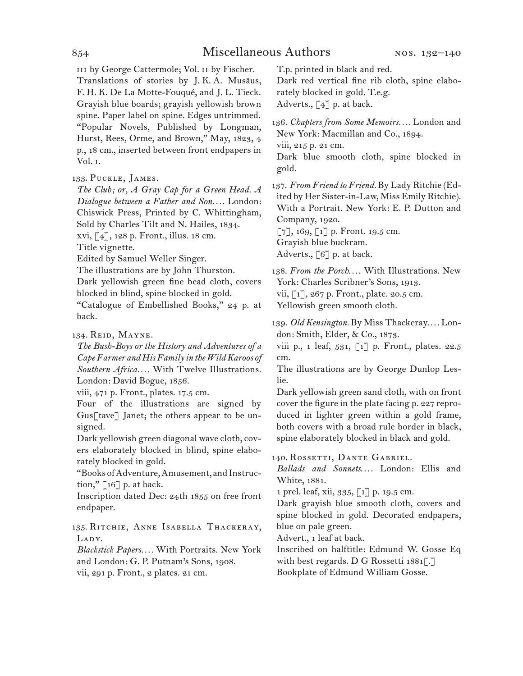iii by George Cattermole; Vol. ii by Fischer. Translations of stories by J.  K.  A. Musäus, F. H. K. De La Motte-Fouqué, and J. L. Tieck. Grayish blue boards; grayish yellowish brown spine. Paper label on spine. Edges untrimmed. "Popular Novels, Published by Longman, Hurst, Rees, Orme, and Brown," May, 1823, 4 p., 18 cm., inserted between front endpapers in Vol. i.

133.  Puckle, James.

*The Club; or, A Gray Cap for a Green Head. A Dialogue between a Father and Son. . . .* London: Chiswick Press, Printed by C. Whittingham, Sold by Charles Tilt and N. Hailes, 1834. xvi, [4], 128 p. Front., illus. 18 cm.

Title vignette.

Edited by Samuel Weller Singer.

The illustrations are by John Thurston.

Dark yellowish green fine bead cloth, covers blocked in blind, spine blocked in gold.

"Catalogue of Embellished Books," 24 p. at back.

134.  Reid, Mayne.

*The Bush-Boys or the History and Adventures of a Cape Farmer and His Family in the Wild Karoos of Southern Africa. . . .* With Twelve Illustrations. London: David Bogue, 1856.

viii, 471 p. Front., plates. 17.5 cm.

Four of the illustrations are signed by Gus[tave] Janet; the others appear to be unsigned.

Dark yellowish green diagonal wave cloth, covers elaborately blocked in blind, spine elaborately blocked in gold.

"Books ofAdventure,Amusement, and Instruction,"  $\lceil 16 \rceil$  p. at back.

Inscription dated Dec: 24th 1855 on free front endpaper.

135.  Ritchie, Anne Isabella Thackeray, LADY.

*Blackstick Papers. . . .* With Portraits. New York and London: G. P. Putnam's Sons, 1908. vii, 291 p. Front., 2 plates. 21 cm.

T.p. printed in black and red.

Dark red vertical fine rib cloth, spine elaborately blocked in gold. T.e.g. Adverts.,  $\lceil 4 \rceil$  p. at back.

136.  *Chapters from Some Memoirs. . . .* London and New York: Macmillan and Co., 1894. viii, 215 p. 21 cm.

Dark blue smooth cloth, spine blocked in gold.

137.  *From Friend to Friend.* By Lady Ritchie (Edited by Her Sister-in-Law, Miss Emily Ritchie). With a Portrait. New York: E. P. Dutton and Company, 1920.

 $\lbrack 7 \rbrack, 169, \lbrack 1 \rbrack$  p. Front. 19.5 cm. Grayish blue buckram. Adverts.,  $\lceil 6 \rceil$  p. at back.

138. *From the Porch*.... With Illustrations. New York: Charles Scribner's Sons, 1913. vii, [1], 267 p. Front., plate. 20.5 cm. Yellowish green smooth cloth.

139.  *Old Kensington.* By Miss Thackeray. . . . London: Smith, Elder, & Co., 1873.

viii p., 1 leaf, 531, [1] p. Front., plates. 22.5 cm.

The illustrations are by George Dunlop Leslie.

Dark yellowish green sand cloth, with on front cover the figure in the plate facing p. 227 reproduced in lighter green within a gold frame, both covers with a broad rule border in black, spine elaborately blocked in black and gold.

140.  Rossetti, Dante Gabriel.

*Ballads and Sonnets*. . . . London: Ellis and White, 1881.

1 prel. leaf, xii, 335, [1] p. 19.5 cm.

Dark grayish blue smooth cloth, covers and spine blocked in gold. Decorated endpapers, blue on pale green.

Advert., 1 leaf at back.

Inscribed on halftitle: Edmund W. Gosse Eq with best regards. D G Rossetti 1881[.] Bookplate of Edmund William Gosse.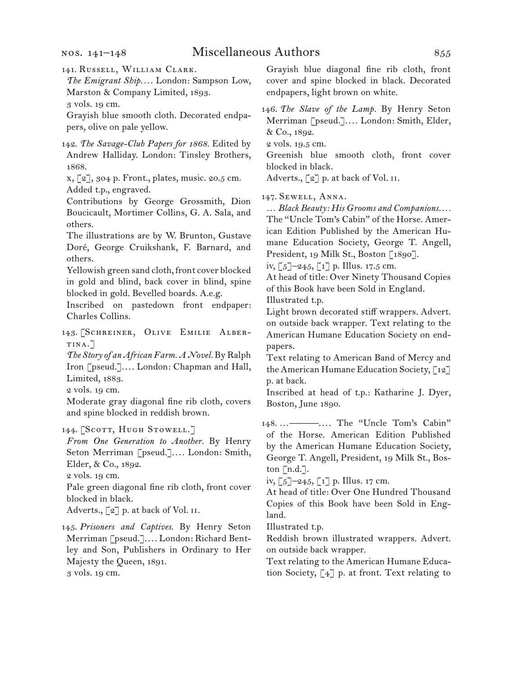### nos. 141–148

141.  Russell, William Clark.

*The Emigrant Ship. . . .* London: Sampson Low, Marston & Company Limited, 1893. 3 vols. 19 cm.

Grayish blue smooth cloth. Decorated endpapers, olive on pale yellow.

142.  *The Savage-Club Papers for 1868.* Edited by Andrew Halliday. London: Tinsley Brothers, 1868.

x, [2], 304 p. Front., plates, music. 20.5 cm. Added t.p., engraved.

Contributions by George Grossmith, Dion Boucicault, Mortimer Collins, G. A. Sala, and others.

The illustrations are by W. Brunton, Gustave Doré, George Cruikshank, F. Barnard, and others.

Yellowish green sand cloth, front cover blocked in gold and blind, back cover in blind, spine blocked in gold. Bevelled boards. A.e.g.

Inscribed on pastedown front endpaper: Charles Collins.

143.  [Schreiner, Olive Emilie Albertina.]

*The Story of an African Farm. A Novel.* By Ralph Iron [pseud.]. . . . London: Chapman and Hall, Limited, 1883.

2 vols. 19 cm.

Moderate gray diagonal fine rib cloth, covers and spine blocked in reddish brown.

144. [Scott, Hugh Stowell.]

*From One Generation to Another.* By Henry Seton Merriman [pseud.]. . . . London: Smith, Elder, & Co., 1892.

2 vols. 19 cm.

Pale green diagonal fine rib cloth, front cover blocked in black.

Adverts.,  $\lceil 2 \rceil$  p. at back of Vol. II.

145.  *Prisoners and Captives.* By Henry Seton Merriman [pseud.]. . . . London: Richard Bentley and Son, Publishers in Ordinary to Her Majesty the Queen, 1891. 3 vols. 19 cm.

Grayish blue diagonal fine rib cloth, front cover and spine blocked in black. Decorated endpapers, light brown on white.

146.  *The Slave of the Lamp.* By Henry Seton Merriman [pseud.]. . . . London: Smith, Elder, & Co., 1892.

2 vols. 19.5 cm.

Greenish blue smooth cloth, front cover blocked in black.

Adverts., [2] p. at back of Vol. II.

147.  Sewell, Anna.

… *Black Beauty: His Grooms and Companions. . . .* The "Uncle Tom's Cabin" of the Horse. American Edition Published by the American Humane Education Society, George T. Angell, President, 19 Milk St., Boston [1890].

iv, [5]–245, [1] p. Illus. 17.5 cm.

At head of title: Over Ninety Thousand Copies of this Book have been Sold in England.

Illustrated t.p.

Light brown decorated stiff wrappers. Advert. on outside back wrapper. Text relating to the American Humane Education Society on endpapers.

Text relating to American Band of Mercy and the American Humane Education Society, [12] p. at back.

Inscribed at head of t.p.: Katharine J. Dyer, Boston, June 1890.

148.  …———. . . . The "Uncle Tom's Cabin" of the Horse. American Edition Published by the American Humane Education Society, George T. Angell, President, 19 Milk St., Boston  $[n.d.]$ .

iv,  $\lceil 5 \rceil$ -245,  $\lceil 1 \rceil$  p. Illus. 17 cm.

At head of title: Over One Hundred Thousand Copies of this Book have been Sold in England.

Illustrated t.p.

Reddish brown illustrated wrappers. Advert. on outside back wrapper.

Text relating to the American Humane Education Society, [4] p. at front. Text relating to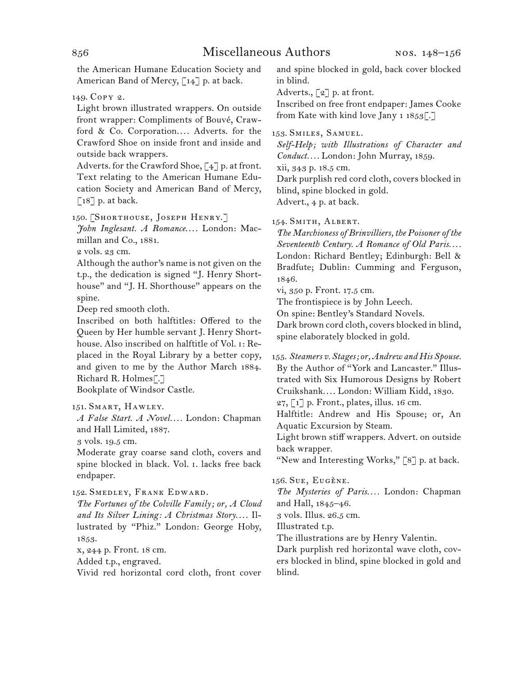the American Humane Education Society and American Band of Mercy, [14] p. at back.

149.  Copy 2.

Light brown illustrated wrappers. On outside front wrapper: Compliments of Bouvé, Crawford & Co. Corporation.... Adverts. for the Crawford Shoe on inside front and inside and outside back wrappers.

Adverts. for the Crawford Shoe,  $\lbrack 4 \rbrack$  p. at front. Text relating to the American Humane Education Society and American Band of Mercy,  $\lceil 18 \rceil$  p. at back.

150.  [Shorthouse, Joseph Henry.]

*John Inglesant. A Romance*. . . . London: Macmillan and Co., 1881.

2 vols. 23 cm.

Although the author's name is not given on the t.p., the dedication is signed "J. Henry Shorthouse" and "J. H. Shorthouse" appears on the spine.

Deep red smooth cloth.

Inscribed on both halftitles: Offered to the Queen by Her humble servant J. Henry Shorthouse. Also inscribed on halftitle of Vol. i: Replaced in the Royal Library by a better copy, and given to me by the Author March 1884. Richard R. Holmes[.]

Bookplate of Windsor Castle.

*A False Start. A Novel. . . .* London: Chapman and Hall Limited, 1887.

3 vols. 19.5 cm.

Moderate gray coarse sand cloth, covers and spine blocked in black. Vol. i. lacks free back endpaper.

152.  Smedley, Frank Edward.

*The Fortunes of the Colville Family; or, A Cloud and Its Silver Lining: A Christmas Story*. . . . Illustrated by "Phiz." London: George Hoby, 1853.

x, 244 p. Front. 18 cm.

Added t.p., engraved.

Vivid red horizontal cord cloth, front cover

and spine blocked in gold, back cover blocked in blind.

Adverts., [2] p. at front.

Inscribed on free front endpaper: James Cooke from Kate with kind love Jany 1 1853[.]

# 153.  Smiles, Samuel.

*Self-Help; with Illustrations of Character and Conduct. . . .* London: John Murray, 1859.

xii, 343 p. 18.5 cm.

Dark purplish red cord cloth, covers blocked in blind, spine blocked in gold. Advert., 4 p. at back.

154.  Smith, Albert.

*The Marchioness of Brinvilliers, the Poisoner of the Seventeenth Century. A Romance of Old Paris. . . .* London: Richard Bentley; Edinburgh: Bell & Bradfute; Dublin: Cumming and Ferguson, 1846.

vi, 350 p. Front. 17.5 cm.

The frontispiece is by John Leech.

On spine: Bentley's Standard Novels.

Dark brown cord cloth, covers blocked in blind, spine elaborately blocked in gold.

155.  *Steamers v. Stages; or, Andrew and His Spouse.* By the Author of "York and Lancaster." Illustrated with Six Humorous Designs by Robert Cruikshank. . . . London: William Kidd, 1830. 27, [1] p. Front., plates, illus. 16 cm.

Halftitle: Andrew and His Spouse; or, An Aquatic Excursion by Steam.

Light brown stiff wrappers. Advert. on outside back wrapper.

"New and Interesting Works," [8] p. at back.

156. SUE, EUGÈNE.

*The Mysteries of Paris. . . .* London: Chapman and Hall, 1845–46.

3 vols. Illus. 26.5 cm.

Illustrated t.p.

The illustrations are by Henry Valentin.

Dark purplish red horizontal wave cloth, covers blocked in blind, spine blocked in gold and blind.

<sup>151.</sup>Smart, Hawley.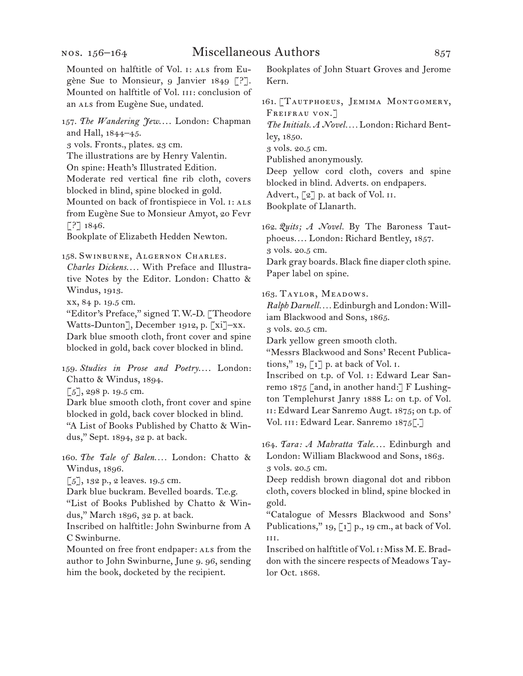Mounted on halftitle of Vol. 1: ALS from Eugène Sue to Monsieur, 9 Janvier 1849 [?]. Mounted on halftitle of Vol. III: conclusion of an ALS from Eugène Sue, undated. 157.  *The Wandering Jew*. . . . London: Chapman and Hall, 1844–45. 3 vols. Fronts., plates. 23 cm. The illustrations are by Henry Valentin. On spine: Heath's Illustrated Edition. Moderate red vertical fine rib cloth, covers blocked in blind, spine blocked in gold. Mounted on back of frontispiece in Vol. I: ALS from Eugène Sue to Monsieur Amyot, 20 Fevr  $[$ ?] 1846. Bookplate of Elizabeth Hedden Newton. 158.  Swinburne, Algernon Charles. *Charles Dickens. . . .* With Preface and Illustrative Notes by the Editor. London: Chatto & Windus, 1913. xx, 84 p. 19.5 cm. "Editor's Preface," signed T. W.-D. [Theodore Watts-Dunton], December 1912, p. [xi]–xx. Dark blue smooth cloth, front cover and spine blocked in gold, back cover blocked in blind. 159.  *Studies in Prose and Poetry*. . . . London: Chatto & Windus, 1894.  $\lceil 5 \rceil$ , 298 p. 19.5 cm. Dark blue smooth cloth, front cover and spine blocked in gold, back cover blocked in blind. "A List of Books Published by Chatto & Windus," Sept. 1894, 32 p. at back. 160.  *The Tale of Balen. . . .* London: Chatto & Windus, 1896.  $\lceil 5 \rceil$ , 132 p., 2 leaves. 19.5 cm. Dark blue buckram. Bevelled boards. T.e.g. "List of Books Published by Chatto & Win-Kern. gold.

dus," March 1896, 32 p. at back. Inscribed on halftitle: John Swinburne from A C Swinburne.

Mounted on free front endpaper: als from the author to John Swinburne, June 9. 96, sending him the book, docketed by the recipient.

Bookplates of John Stuart Groves and Jerome

161.  [Tautphoeus, Jemima Montgomery, FREIFRAU VON.]

*The Initials. A Novel. . . .* London: Richard Bentley, 1850.

3 vols. 20.5 cm.

Published anonymously.

Deep yellow cord cloth, covers and spine blocked in blind. Adverts. on endpapers. Advert.,  $\lceil 2 \rceil$  p. at back of Vol. II. Bookplate of Llanarth.

162.  *Quits; A Novel.* By The Baroness Tautphoeus. . . . London: Richard Bentley, 1857. 3 vols. 20.5 cm. Dark gray boards. Black fine diaper cloth spine.

Paper label on spine.

163.  Taylor, Meadows.

*Ralph Darnell. . . .* Edinburgh and London: William Blackwood and Sons, 1865.

3 vols. 20.5 cm.

Dark yellow green smooth cloth.

"Messrs Blackwood and Sons' Recent Publications," 19,  $\lceil 1 \rceil$  p. at back of Vol. I.

Inscribed on t.p. of Vol. i: Edward Lear Sanremo 1875 [and, in another hand:] F Lushington Templehurst Janry 1888 L: on t.p. of Vol. ii: Edward Lear Sanremo Augt. 1875; on t.p. of Vol. III: Edward Lear. Sanremo 1875[.]

164.  *Tara: A Mahratta Tale*. . . . Edinburgh and London: William Blackwood and Sons, 1863. 3 vols. 20.5 cm.

Deep reddish brown diagonal dot and ribbon cloth, covers blocked in blind, spine blocked in

"Catalogue of Messrs Blackwood and Sons' Publications," 19,  $\lceil 1 \rceil$  p., 19 cm., at back of Vol. iii.

Inscribed on halftitle of Vol. 1: Miss M. E. Braddon with the sincere respects of Meadows Taylor Oct. 1868.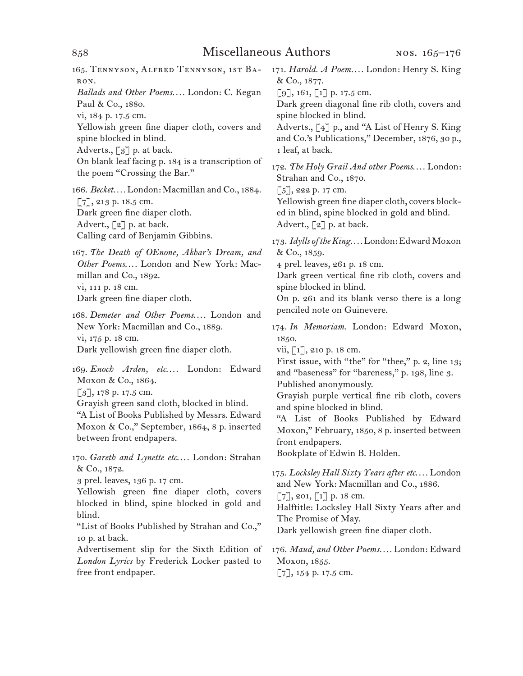# 858 Miscellaneous Authors

165.  Tennyson, Alfred Tennyson, 1st Baron. *Ballads and Other Poems. . . .* London: C. Kegan Paul & Co., 1880.

vi, 184 p. 17.5 cm.

Yellowish green fine diaper cloth, covers and spine blocked in blind.

Adverts., [3] p. at back.

On blank leaf facing p. 184 is a transcription of the poem "Crossing the Bar."

166.  *Becket. . . .* London: Macmillan and Co., 1884. [7], 213 p. 18.5 cm. Dark green fine diaper cloth. Advert., [2] p. at back. Calling card of Benjamin Gibbins.

167.  *The Death of OEnone, Akbar's Dream, and Other Poems*. . . . London and New York: Macmillan and Co., 1892. vi, 111 p. 18 cm. Dark green fine diaper cloth.

168.  *Demeter and Other Poems*. . . . London and New York: Macmillan and Co., 1889. vi, 175 p. 18 cm. Dark yellowish green fine diaper cloth.

169.  *Enoch Arden, etc*. . . . London: Edward Moxon & Co., 1864.

[3], 178 p. 17.5 cm.

Grayish green sand cloth, blocked in blind.

"A List of Books Published by Messrs. Edward Moxon & Co.," September, 1864, 8 p. inserted between front endpapers.

170.  *Gareth and Lynette etc*. . . . London: Strahan & Co., 1872.

3 prel. leaves, 136 p. 17 cm.

Yellowish green fine diaper cloth, covers blocked in blind, spine blocked in gold and blind.

"List of Books Published by Strahan and Co.," 10 p. at back.

Advertisement slip for the Sixth Edition of *London Lyrics* by Frederick Locker pasted to free front endpaper.

171.  *Harold. A Poem. . . .* London: Henry S. King & Co., 1877.

 $[9]$ , 161,  $[1]$  p. 17.5 cm.

Dark green diagonal fine rib cloth, covers and spine blocked in blind.

Adverts., [4] p., and "A List of Henry S. King and Co.'s Publications," December, 1876, 30 p., 1 leaf, at back.

172.  *The Holy Grail And other Poems*. . . . London: Strahan and Co., 1870.

 $[5]$ , 222 p. 17 cm.

Yellowish green fine diaper cloth, covers blocked in blind, spine blocked in gold and blind. Advert., [2] p. at back.

173.  *Idylls of the King. . . .* London:Edward Moxon & Co., 1859.

4 prel. leaves, 261 p. 18 cm.

Dark green vertical fine rib cloth, covers and spine blocked in blind.

On p. 261 and its blank verso there is a long penciled note on Guinevere.

174.  *In Memoriam.* London: Edward Moxon, 1850.

vii, [1], 210 p. 18 cm.

First issue, with "the" for "thee," p. 2, line 13; and "baseness" for "bareness," p. 198, line 3.

Published anonymously.

Grayish purple vertical fine rib cloth, covers and spine blocked in blind.

"A List of Books Published by Edward Moxon," February, 1850, 8 p. inserted between front endpapers.

Bookplate of Edwin B. Holden.

175.  *Locksley Hall Sixty Years after etc*. . . . London and New York: Macmillan and Co., 1886.  $[7]$ , 201,  $[1]$  p. 18 cm. Halftitle: Locksley Hall Sixty Years after and

The Promise of May.

Dark yellowish green fine diaper cloth.

176.  *Maud, and Other Poems. . . .* London: Edward Moxon, 1855. [7], 154 p. 17.5 cm.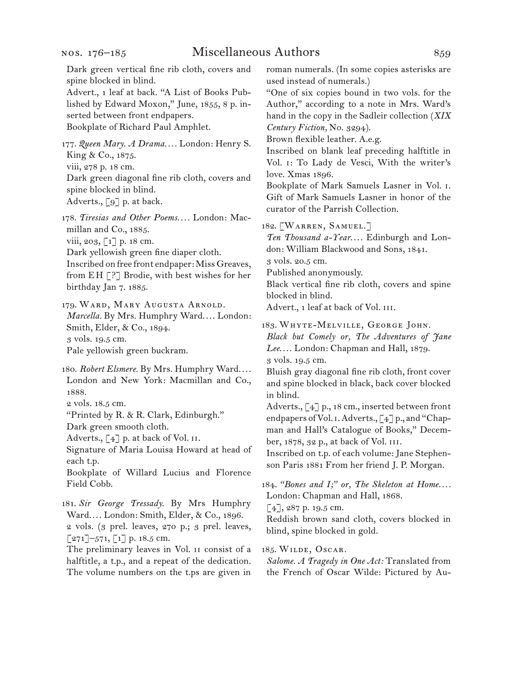Dark green vertical fine rib cloth, covers and spine blocked in blind.

Advert., 1 leaf at back. "A List of Books Published by Edward Moxon," June, 1855, 8 p. inserted between front endpapers. Bookplate of Richard Paul Amphlet.

177.  *Queen Mary. A Drama. . . .* London: Henry S. King & Co., 1875. viii, 278 p. 18 cm. Dark green diagonal fine rib cloth, covers and spine blocked in blind. Adverts., [9] p. at back.

178.  *Tiresias and Other Poems. . . .* London: Macmillan and Co., 1885. viii, 203, [1] p. 18 cm. Dark yellowish green fine diaper cloth. Inscribed on free front endpaper: Miss Greaves, from E H [?] Brodie, with best wishes for her birthday Jan 7. 1885.

179. WARD, MARY AUGUSTA ARNOLD. *Marcella.* By Mrs. Humphry Ward. . . . London: Smith, Elder, & Co., 1894. 3 vols. 19.5 cm. Pale yellowish green buckram.

180.  *Robert Elsmere.* By Mrs. Humphry Ward. . . . London and New York: Macmillan and Co., 1888.

2 vols. 18.5 cm.

"Printed by R. & R. Clark, Edinburgh."

Dark green smooth cloth.

Adverts.,  $\lceil 4 \rceil$  p. at back of Vol. II.

Signature of Maria Louisa Howard at head of each t.p.

Bookplate of Willard Lucius and Florence Field Cobb.

181.  *Sir George Tressady.* By Mrs Humphry Ward. . . . London: Smith, Elder, & Co., 1896. 2 vols. (3 prel. leaves, 270 p.; 3 prel. leaves,  $[271]$ –571,  $[1]$  p. 18.5 cm.

The preliminary leaves in Vol. ii consist of a halftitle, a t.p., and a repeat of the dedication. The volume numbers on the t.ps are given in

roman numerals. (In some copies asterisks are used instead of numerals.)

"One of six copies bound in two vols. for the Author," according to a note in Mrs. Ward's hand in the copy in the Sadleir collection (*XIX Century Fiction,* No. 3294).

Brown flexible leather. A.e.g.

Inscribed on blank leaf preceding halftitle in Vol. i: To Lady de Vesci, With the writer's love. Xmas 1896.

Bookplate of Mark Samuels Lasner in Vol. i. Gift of Mark Samuels Lasner in honor of the curator of the Parrish Collection.

182.  [Warren, Samuel.]

*Ten Thousand a-Year*. . . . Edinburgh and London: William Blackwood and Sons, 1841.

3 vols. 20.5 cm.

Published anonymously.

Black vertical fine rib cloth, covers and spine blocked in blind.

Advert., 1 leaf at back of Vol. iii.

183.  Whyte-Melville, George John.

*Black but Comely or, The Adventures of Jane Lee*. . . . London: Chapman and Hall, 1879. 3 vols. 19.5 cm.

Bluish gray diagonal fine rib cloth, front cover and spine blocked in black, back cover blocked in blind.

Adverts., [4] p., 18 cm., inserted between front endpapers of Vol. 1. Adverts.,  $\lceil 4 \rceil$  p., and "Chapman and Hall's Catalogue of Books," December, 1878, 32 p., at back of Vol. iii.

Inscribed on t.p. of each volume: Jane Stephenson Paris 1881 From her friend J. P. Morgan.

184.  *"Bones and I;" or, The Skeleton at Home. . . .* London: Chapman and Hall, 1868.

[4], 287 p. 19.5 cm.

Reddish brown sand cloth, covers blocked in blind, spine blocked in gold.

185.  Wilde, Oscar.

*Salome. A Tragedy in One Act:* Translated from the French of Oscar Wilde: Pictured by Au-